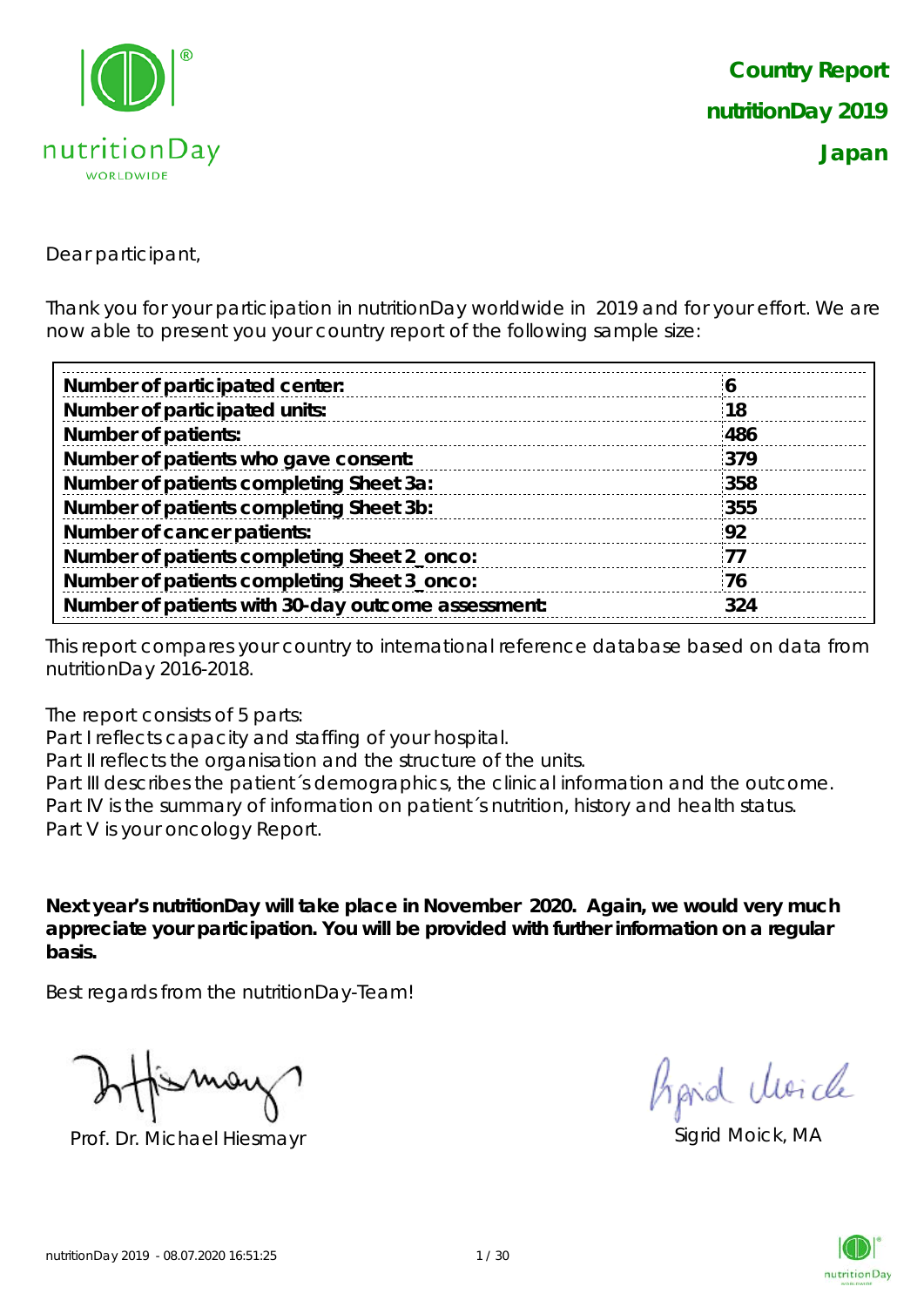

Dear participant,

Thank you for your participation in nutritionDay worldwide in 2019 and for your effort. We are now able to present you your country report of the following sample size:

| 18  |
|-----|
| 486 |
| 379 |
| 358 |
| 355 |
| 92  |
| -77 |
| 76  |
| 324 |
|     |

This report compares your country to international reference database based on data from nutritionDay 2016-2018.

The report consists of 5 parts:

Part I reflects capacity and staffing of your hospital.

Part II reflects the organisation and the structure of the units.

Part III describes the patient's demographics, the clinical information and the outcome. Part IV is the summary of information on patient´s nutrition, history and health status. Part V is your oncology Report.

**Next year's nutritionDay will take place in November 2020. Again, we would very much appreciate your participation. You will be provided with further information on a regular basis.**

Best regards from the nutritionDay-Team!

Prof. Dr. Michael Hiesmayr Sigrid Moick, MA

hard Moich

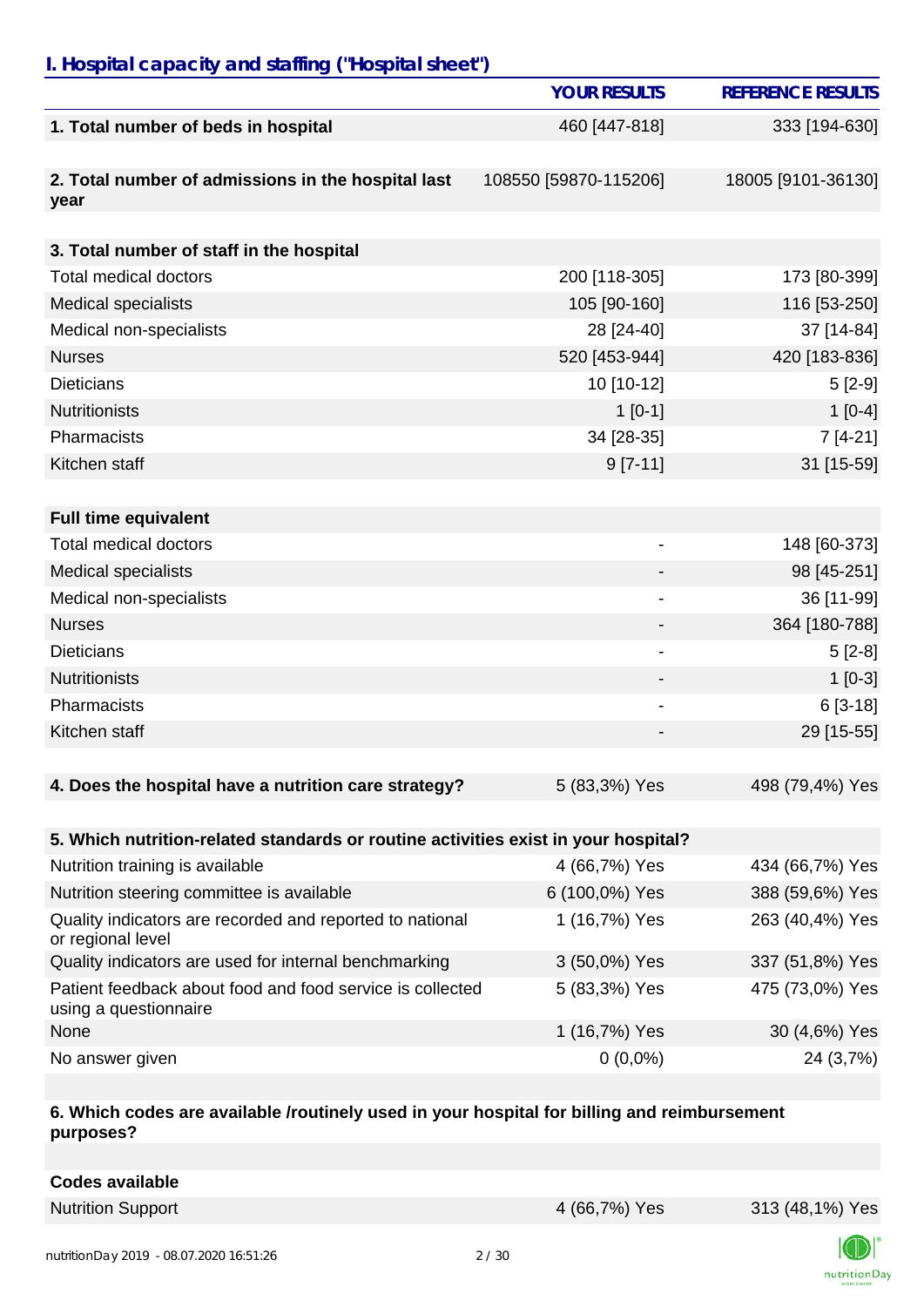### *I. Hospital capacity and staffing ("Hospital sheet")*

|                                                                                    | <b>YOUR RESULTS</b>          | <b>REFERENCE RESULTS</b> |
|------------------------------------------------------------------------------------|------------------------------|--------------------------|
| 1. Total number of beds in hospital                                                | 460 [447-818]                | 333 [194-630]            |
|                                                                                    |                              |                          |
| 2. Total number of admissions in the hospital last<br>year                         | 108550 [59870-115206]        | 18005 [9101-36130]       |
| 3. Total number of staff in the hospital                                           |                              |                          |
| <b>Total medical doctors</b>                                                       | 200 [118-305]                | 173 [80-399]             |
| <b>Medical specialists</b>                                                         | 105 [90-160]                 | 116 [53-250]             |
| Medical non-specialists                                                            | 28 [24-40]                   | 37 [14-84]               |
| <b>Nurses</b>                                                                      | 520 [453-944]                | 420 [183-836]            |
| <b>Dieticians</b>                                                                  | 10 [10-12]                   | $5[2-9]$                 |
| <b>Nutritionists</b>                                                               | $1$ [0-1]                    | $1[0-4]$                 |
| Pharmacists                                                                        | 34 [28-35]                   | $7[4-21]$                |
| Kitchen staff                                                                      | $9 [7-11]$                   | 31 [15-59]               |
| <b>Full time equivalent</b>                                                        |                              |                          |
| <b>Total medical doctors</b>                                                       | $\qquad \qquad \blacksquare$ | 148 [60-373]             |
| <b>Medical specialists</b>                                                         |                              | 98 [45-251]              |
| Medical non-specialists                                                            | $\blacksquare$               | 36 [11-99]               |
| <b>Nurses</b>                                                                      |                              | 364 [180-788]            |
| <b>Dieticians</b>                                                                  |                              | $5[2-8]$                 |
| <b>Nutritionists</b>                                                               |                              | $1[0-3]$                 |
| Pharmacists                                                                        |                              | $6[3-18]$                |
| Kitchen staff                                                                      |                              | 29 [15-55]               |
|                                                                                    |                              |                          |
| 4. Does the hospital have a nutrition care strategy?                               | 5 (83,3%) Yes                | 498 (79,4%) Yes          |
| 5. Which nutrition-related standards or routine activities exist in your hospital? |                              |                          |
| Nutrition training is available                                                    | 4 (66,7%) Yes                | 434 (66,7%) Yes          |
| Nutrition steering committee is available                                          | 6 (100,0%) Yes               | 388 (59,6%) Yes          |
| Quality indicators are recorded and reported to national<br>or regional level      | 1 (16,7%) Yes                | 263 (40,4%) Yes          |
| Quality indicators are used for internal benchmarking                              | 3 (50,0%) Yes                | 337 (51,8%) Yes          |
| Patient feedback about food and food service is collected<br>using a questionnaire | 5 (83,3%) Yes                | 475 (73,0%) Yes          |

None 1 (16,7%) Yes 30 (4,6%) Yes

No answer given  $0(0,0\%)$  24 (3,7%)

#### **6. Which codes are available /routinely used in your hospital for billing and reimbursement purposes?**

**Codes available**

Nutrition Support **1988** Nutrition Support **4** (66,7%) Yes 313 (48,1%) Yes

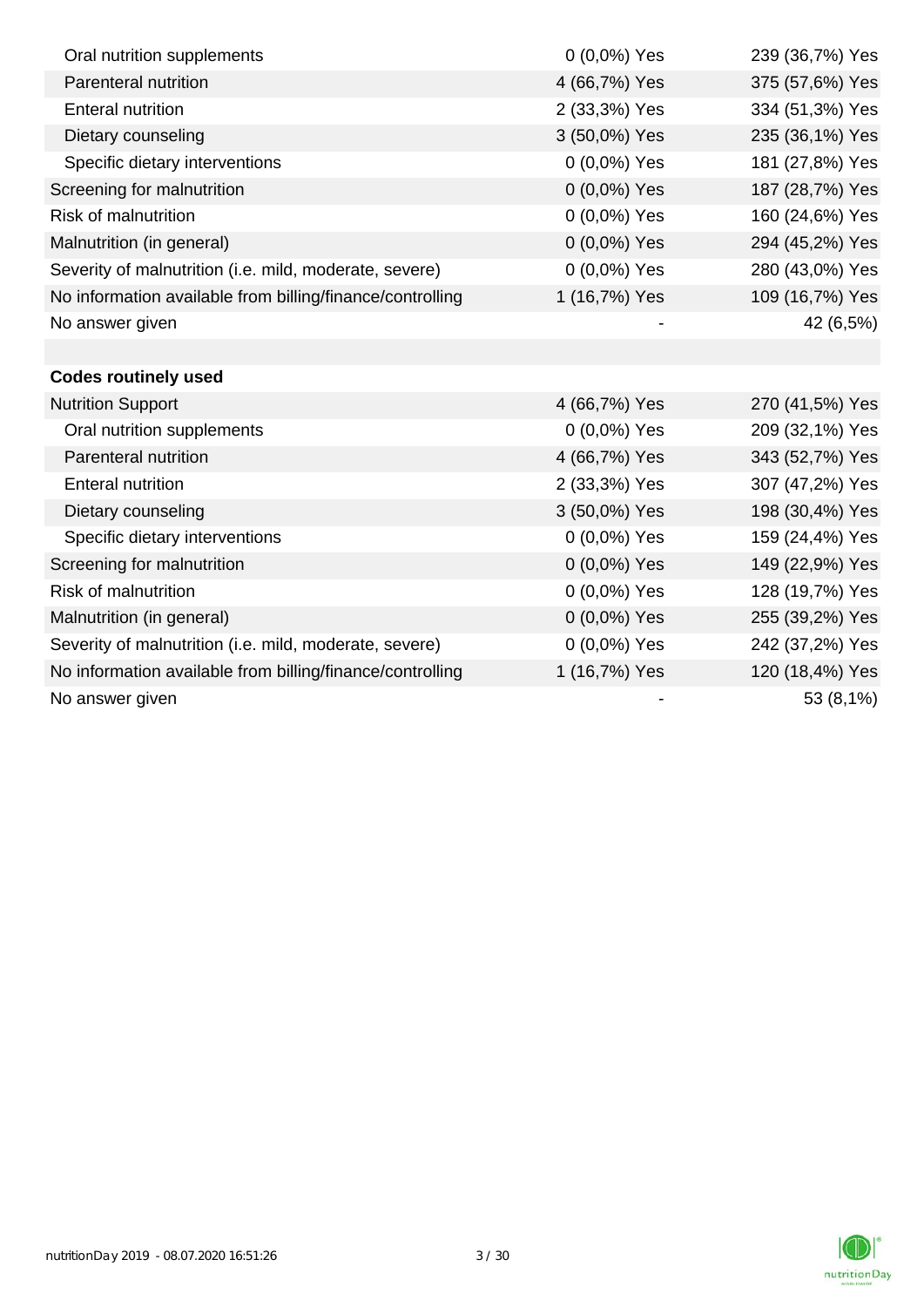| Oral nutrition supplements                                | $0(0,0\%)$ Yes | 239 (36,7%) Yes |
|-----------------------------------------------------------|----------------|-----------------|
| Parenteral nutrition                                      | 4 (66,7%) Yes  | 375 (57,6%) Yes |
| <b>Enteral nutrition</b>                                  | 2 (33,3%) Yes  | 334 (51,3%) Yes |
| Dietary counseling                                        | 3 (50,0%) Yes  | 235 (36,1%) Yes |
| Specific dietary interventions                            | 0 (0,0%) Yes   | 181 (27,8%) Yes |
| Screening for malnutrition                                | 0 (0,0%) Yes   | 187 (28,7%) Yes |
| <b>Risk of malnutrition</b>                               | 0 (0,0%) Yes   | 160 (24,6%) Yes |
| Malnutrition (in general)                                 | 0 (0,0%) Yes   | 294 (45,2%) Yes |
| Severity of malnutrition (i.e. mild, moderate, severe)    | 0 (0,0%) Yes   | 280 (43,0%) Yes |
| No information available from billing/finance/controlling | 1 (16,7%) Yes  | 109 (16,7%) Yes |
| No answer given                                           |                | 42 (6,5%)       |
|                                                           |                |                 |
| <b>Codes routinely used</b>                               |                |                 |
| <b>Nutrition Support</b>                                  | 4 (66,7%) Yes  | 270 (41,5%) Yes |
| Oral nutrition supplements                                | $0(0,0\%)$ Yes | 209 (32,1%) Yes |
| Parenteral nutrition                                      | 4 (66,7%) Yes  | 343 (52,7%) Yes |
| <b>Enteral nutrition</b>                                  | 2 (33,3%) Yes  | 307 (47,2%) Yes |
| Dietary counseling                                        | 3 (50,0%) Yes  | 198 (30,4%) Yes |
| Specific dietary interventions                            | 0 (0,0%) Yes   | 159 (24,4%) Yes |
| Screening for malnutrition                                | 0 (0,0%) Yes   | 149 (22,9%) Yes |
| Risk of malnutrition                                      | 0 (0,0%) Yes   | 128 (19,7%) Yes |
| Malnutrition (in general)                                 | 0 (0,0%) Yes   | 255 (39,2%) Yes |
| Severity of malnutrition (i.e. mild, moderate, severe)    | $0(0,0\%)$ Yes | 242 (37,2%) Yes |
| No information available from billing/finance/controlling | 1 (16,7%) Yes  | 120 (18,4%) Yes |
| No answer given                                           |                | 53 (8,1%)       |

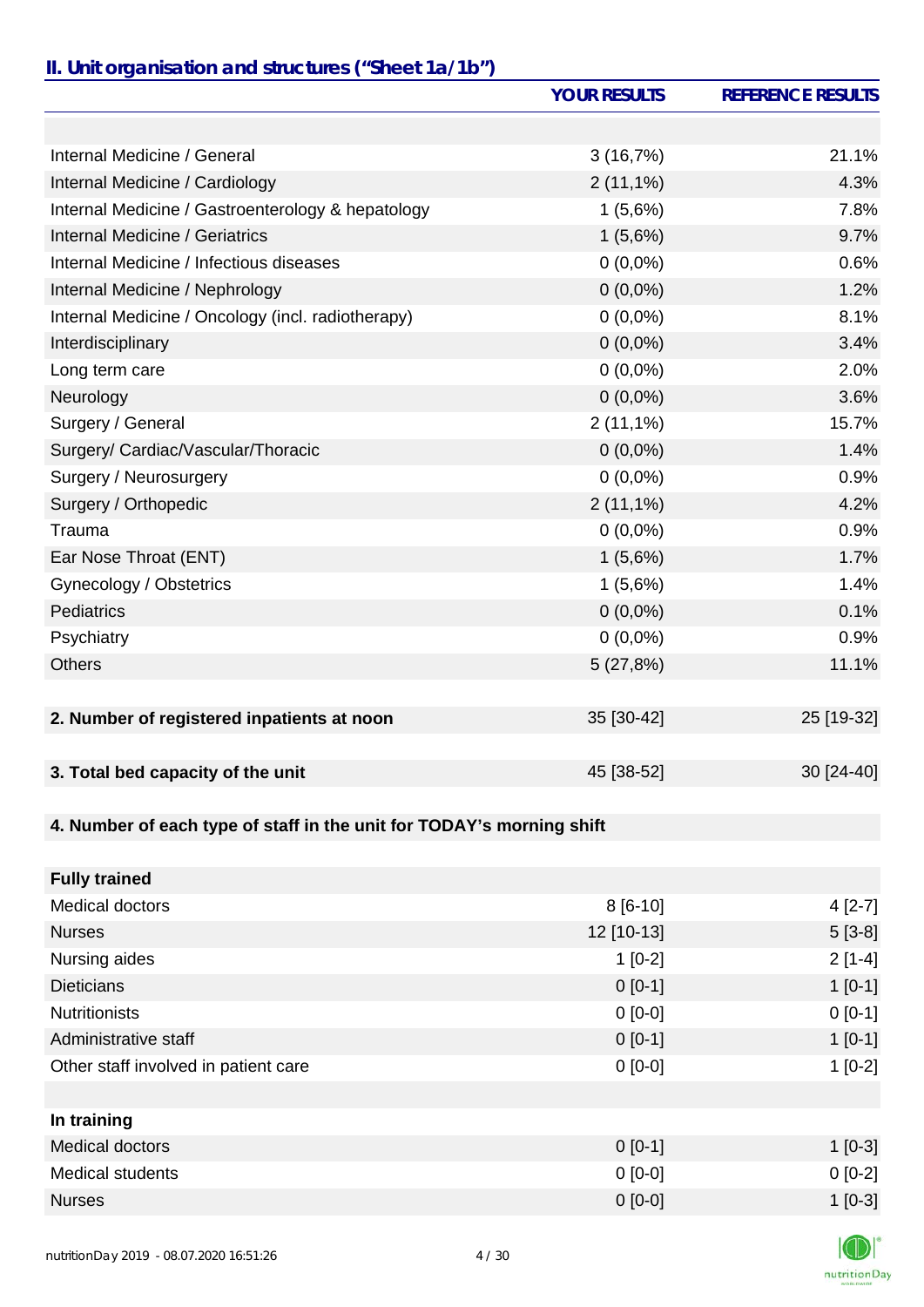### *II. Unit organisation and structures ("Sheet 1a/1b")*

|                                                                       | <b>YOUR RESULTS</b> | <b>REFERENCE RESULTS</b> |
|-----------------------------------------------------------------------|---------------------|--------------------------|
|                                                                       |                     |                          |
| Internal Medicine / General                                           | 3(16,7%)            | 21.1%                    |
| Internal Medicine / Cardiology                                        | $2(11,1\%)$         | 4.3%                     |
| Internal Medicine / Gastroenterology & hepatology                     | 1(5,6%)             | 7.8%                     |
| Internal Medicine / Geriatrics                                        | 1(5,6%)             | 9.7%                     |
| Internal Medicine / Infectious diseases                               | $0(0,0\%)$          | 0.6%                     |
| Internal Medicine / Nephrology                                        | $0(0,0\%)$          | 1.2%                     |
| Internal Medicine / Oncology (incl. radiotherapy)                     | $0(0,0\%)$          | 8.1%                     |
| Interdisciplinary                                                     | $0(0,0\%)$          | 3.4%                     |
| Long term care                                                        | $0(0,0\%)$          | 2.0%                     |
| Neurology                                                             | $0(0,0\%)$          | 3.6%                     |
| Surgery / General                                                     | $2(11,1\%)$         | 15.7%                    |
| Surgery/ Cardiac/Vascular/Thoracic                                    | $0(0,0\%)$          | 1.4%                     |
| Surgery / Neurosurgery                                                | $0(0,0\%)$          | 0.9%                     |
| Surgery / Orthopedic                                                  | $2(11,1\%)$         | 4.2%                     |
| Trauma                                                                | $0(0,0\%)$          | 0.9%                     |
| Ear Nose Throat (ENT)                                                 | 1(5,6%)             | 1.7%                     |
| Gynecology / Obstetrics                                               | 1(5,6%)             | 1.4%                     |
| <b>Pediatrics</b>                                                     | $0(0,0\%)$          | 0.1%                     |
| Psychiatry                                                            | $0(0,0\%)$          | 0.9%                     |
| <b>Others</b>                                                         | 5(27,8%)            | 11.1%                    |
|                                                                       |                     |                          |
| 2. Number of registered inpatients at noon                            | 35 [30-42]          | 25 [19-32]               |
|                                                                       |                     |                          |
| 3. Total bed capacity of the unit                                     | 45 [38-52]          | 30 [24-40]               |
|                                                                       |                     |                          |
| 4. Number of each type of staff in the unit for TODAY's morning shift |                     |                          |
|                                                                       |                     |                          |
| <b>Fully trained</b>                                                  |                     |                          |
| <b>Medical doctors</b>                                                | $8[6-10]$           | $4[2-7]$                 |
| <b>Nurses</b>                                                         | 12 [10-13]          | $5[3-8]$                 |
| Nursing aides                                                         | $1[0-2]$            | $2[1-4]$                 |
| <b>Dieticians</b>                                                     | $0[0-1]$            | $1[0-1]$                 |
| <b>Nutritionists</b>                                                  | $0[0-0]$            | $0[0-1]$                 |
| Administrative staff                                                  | $0 [0-1]$           | $1[0-1]$                 |

| In training      |           |          |
|------------------|-----------|----------|
| Medical doctors  | $0$ [0-1] | $1[0-3]$ |
| Medical students | $0$ [0-0] | $0[0-2]$ |
| <b>Nurses</b>    | $0$ [0-0] | $1[0-3]$ |

Other staff involved in patient care 1 [0-2] 0 [0-0]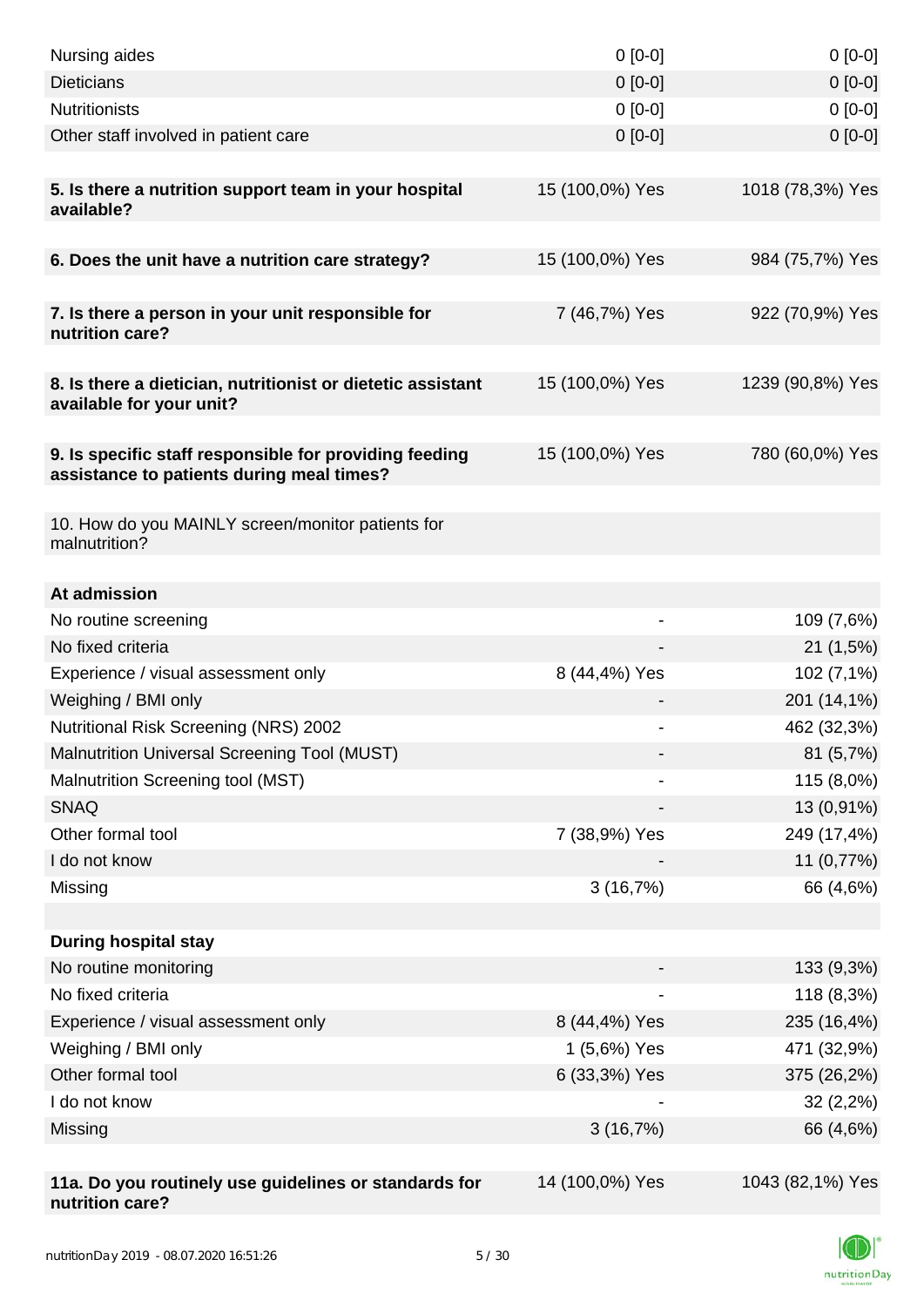| Nursing aides                                                                                       | $0$ [0-0]                | $0[0-0]$         |
|-----------------------------------------------------------------------------------------------------|--------------------------|------------------|
| <b>Dieticians</b>                                                                                   | $0 [0-0]$                | $0[0-0]$         |
| <b>Nutritionists</b>                                                                                | $0[0-0]$                 | $0[0-0]$         |
| Other staff involved in patient care                                                                | $0$ [0-0]                | $0[0-0]$         |
|                                                                                                     |                          |                  |
| 5. Is there a nutrition support team in your hospital<br>available?                                 | 15 (100,0%) Yes          | 1018 (78,3%) Yes |
| 6. Does the unit have a nutrition care strategy?                                                    | 15 (100,0%) Yes          | 984 (75,7%) Yes  |
| 7. Is there a person in your unit responsible for<br>nutrition care?                                | 7 (46,7%) Yes            | 922 (70,9%) Yes  |
| 8. Is there a dietician, nutritionist or dietetic assistant<br>available for your unit?             | 15 (100,0%) Yes          | 1239 (90,8%) Yes |
| 9. Is specific staff responsible for providing feeding<br>assistance to patients during meal times? | 15 (100,0%) Yes          | 780 (60,0%) Yes  |
| 10. How do you MAINLY screen/monitor patients for<br>malnutrition?                                  |                          |                  |
| At admission                                                                                        |                          |                  |
| No routine screening                                                                                | $\overline{\phantom{a}}$ | 109 (7,6%)       |
| No fixed criteria                                                                                   |                          | 21(1,5%)         |
| Experience / visual assessment only                                                                 | 8 (44,4%) Yes            | 102 (7,1%)       |
| Weighing / BMI only                                                                                 |                          | 201 (14,1%)      |
| Nutritional Risk Screening (NRS) 2002                                                               | $\overline{\phantom{a}}$ | 462 (32,3%)      |
| <b>Malnutrition Universal Screening Tool (MUST)</b>                                                 |                          | 81 (5,7%)        |
| Malnutrition Screening tool (MST)                                                                   |                          | 115 (8,0%)       |
| <b>SNAQ</b>                                                                                         |                          | 13 (0,91%)       |
| Other formal tool                                                                                   | 7 (38,9%) Yes            | 249 (17,4%)      |
| I do not know                                                                                       |                          | 11 (0,77%)       |
| Missing                                                                                             | 3(16,7%)                 | 66 (4,6%)        |
|                                                                                                     |                          |                  |
| <b>During hospital stay</b>                                                                         |                          |                  |
| No routine monitoring                                                                               |                          | 133 (9,3%)       |
| No fixed criteria                                                                                   |                          | 118 (8,3%)       |
| Experience / visual assessment only                                                                 | 8 (44,4%) Yes            | 235 (16,4%)      |
| Weighing / BMI only                                                                                 | 1 (5,6%) Yes             | 471 (32,9%)      |
| Other formal tool                                                                                   | 6 (33,3%) Yes            | 375 (26,2%)      |
| I do not know                                                                                       |                          | 32(2,2%)         |
| Missing                                                                                             | 3(16,7%)                 | 66 (4,6%)        |
|                                                                                                     |                          |                  |
| 11a. Do you routinely use guidelines or standards for<br>nutrition care?                            | 14 (100,0%) Yes          | 1043 (82,1%) Yes |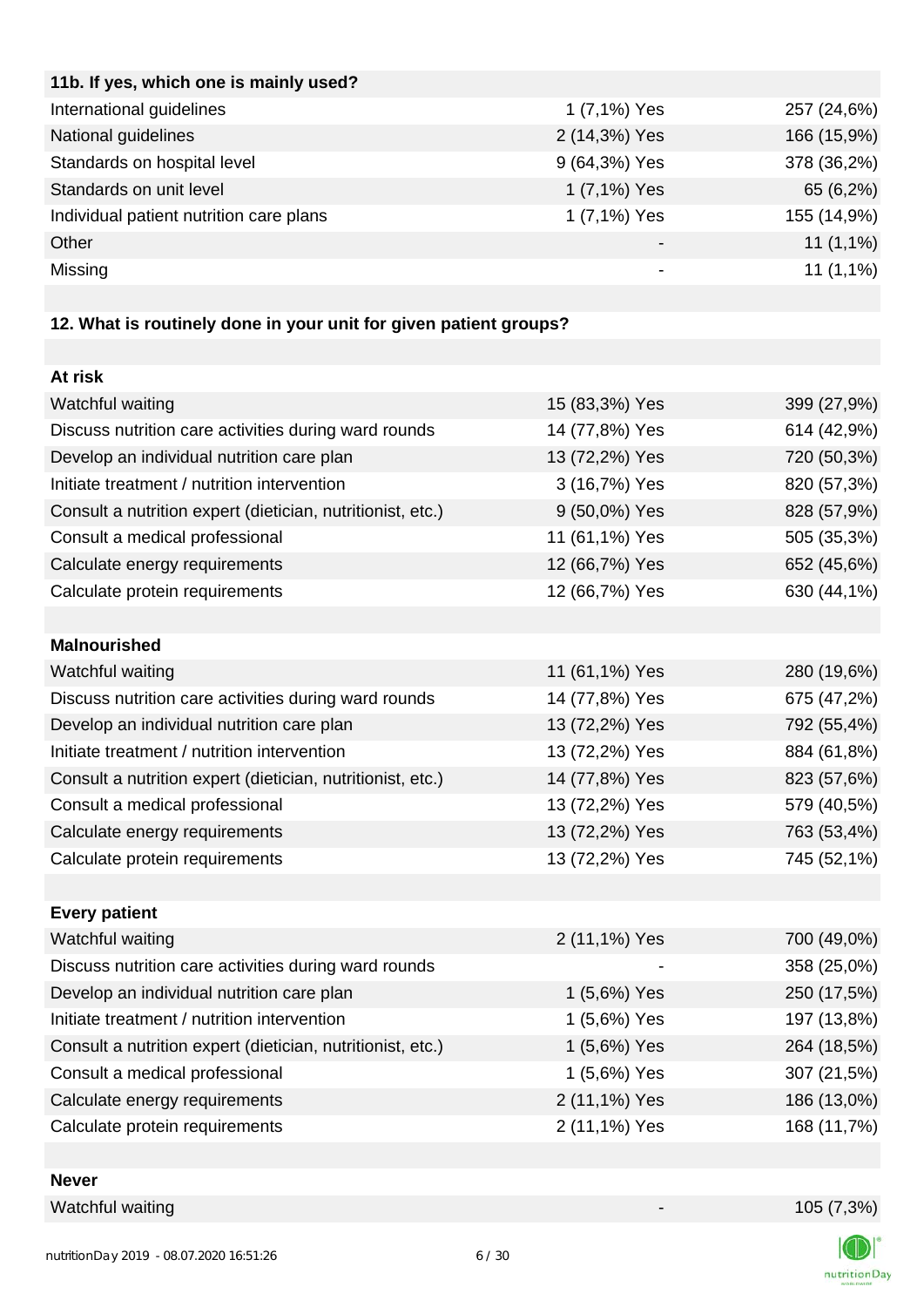| 11b. If yes, which one is mainly used?  |               |             |
|-----------------------------------------|---------------|-------------|
| International guidelines                | 1 (7,1%) Yes  | 257 (24,6%) |
| National guidelines                     | 2 (14,3%) Yes | 166 (15,9%) |
| Standards on hospital level             | 9 (64,3%) Yes | 378 (36,2%) |
| Standards on unit level                 | 1 (7,1%) Yes  | 65 (6,2%)   |
| Individual patient nutrition care plans | 1 (7,1%) Yes  | 155 (14,9%) |
| Other                                   | -             | $11(1,1\%)$ |
| Missing                                 |               | $11(1,1\%)$ |
|                                         |               |             |

# **12. What is routinely done in your unit for given patient groups?**

| At risk                                                    |                |             |
|------------------------------------------------------------|----------------|-------------|
| Watchful waiting                                           | 15 (83,3%) Yes | 399 (27,9%) |
| Discuss nutrition care activities during ward rounds       | 14 (77,8%) Yes | 614 (42,9%) |
| Develop an individual nutrition care plan                  | 13 (72,2%) Yes | 720 (50,3%) |
| Initiate treatment / nutrition intervention                | 3 (16,7%) Yes  | 820 (57,3%) |
| Consult a nutrition expert (dietician, nutritionist, etc.) | 9 (50,0%) Yes  | 828 (57,9%) |
| Consult a medical professional                             | 11 (61,1%) Yes | 505 (35,3%) |
| Calculate energy requirements                              | 12 (66,7%) Yes | 652 (45,6%) |
| Calculate protein requirements                             | 12 (66,7%) Yes | 630 (44,1%) |
|                                                            |                |             |
| <b>Malnourished</b>                                        |                |             |
| Watchful waiting                                           | 11 (61,1%) Yes | 280 (19,6%) |
| Discuss nutrition care activities during ward rounds       | 14 (77,8%) Yes | 675 (47,2%) |
| Develop an individual nutrition care plan                  | 13 (72,2%) Yes | 792 (55,4%) |
| Initiate treatment / nutrition intervention                | 13 (72,2%) Yes | 884 (61,8%) |
| Consult a nutrition expert (dietician, nutritionist, etc.) | 14 (77,8%) Yes | 823 (57,6%) |
| Consult a medical professional                             | 13 (72,2%) Yes | 579 (40,5%) |
| Calculate energy requirements                              | 13 (72,2%) Yes | 763 (53,4%) |
| Calculate protein requirements                             | 13 (72,2%) Yes | 745 (52,1%) |
|                                                            |                |             |
| <b>Every patient</b>                                       |                |             |
| Watchful waiting                                           | 2 (11,1%) Yes  | 700 (49,0%) |
| Discuss nutrition care activities during ward rounds       |                | 358 (25,0%) |
| Develop an individual nutrition care plan                  | 1 (5,6%) Yes   | 250 (17,5%) |
| Initiate treatment / nutrition intervention                | 1 (5,6%) Yes   | 197 (13,8%) |
| Consult a nutrition expert (dietician, nutritionist, etc.) | 1 (5,6%) Yes   | 264 (18,5%) |
| Consult a medical professional                             | 1 (5,6%) Yes   | 307 (21,5%) |
| Calculate energy requirements                              | 2 (11,1%) Yes  | 186 (13,0%) |
| Calculate protein requirements                             | 2 (11,1%) Yes  | 168 (11,7%) |
|                                                            |                |             |

#### **Never**

Watchful waiting 105 (7,3%)

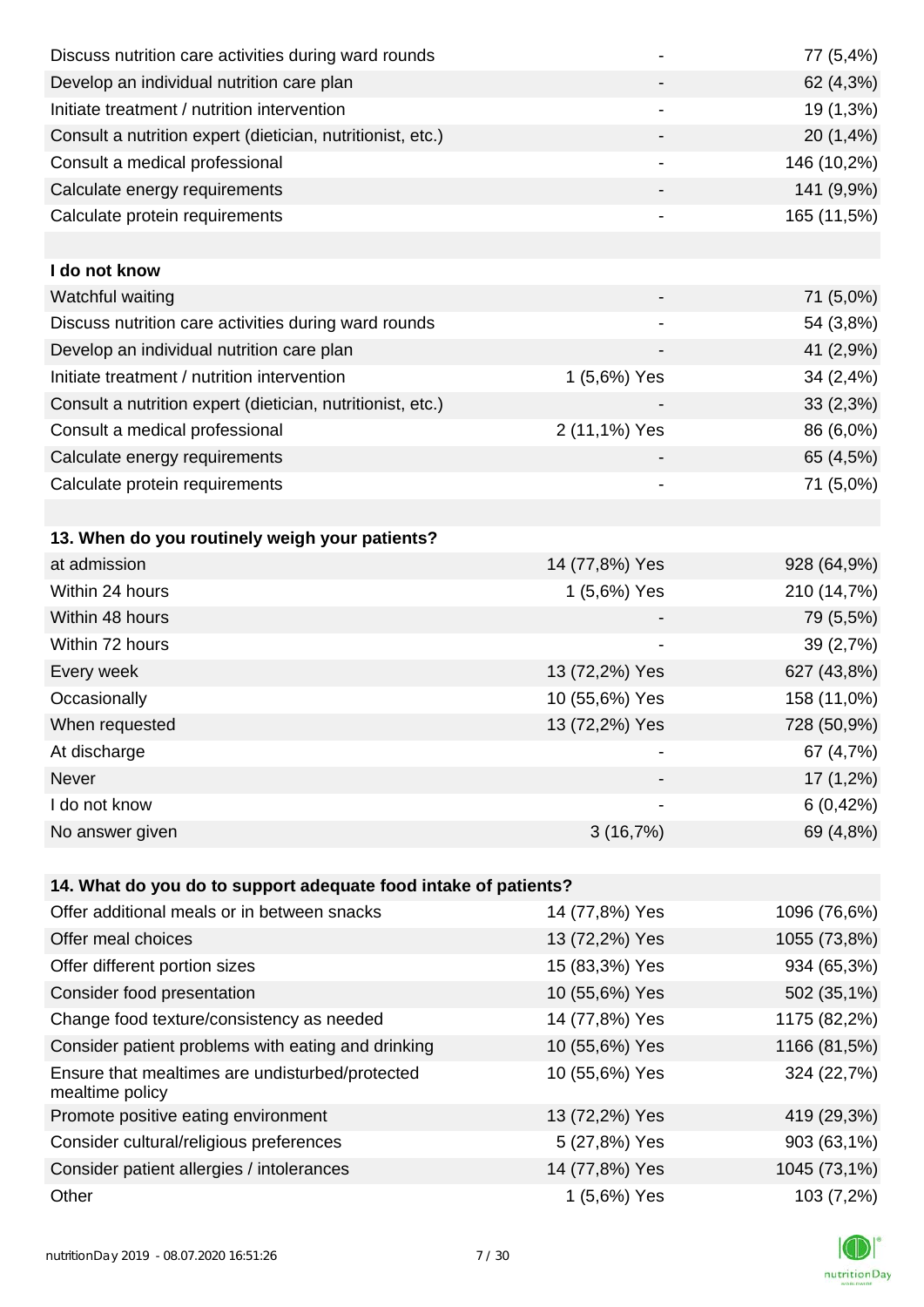| Discuss nutrition care activities during ward rounds               |                              | 77 (5,4%)    |
|--------------------------------------------------------------------|------------------------------|--------------|
| Develop an individual nutrition care plan                          |                              | 62 (4,3%)    |
| Initiate treatment / nutrition intervention                        |                              | 19 (1,3%)    |
| Consult a nutrition expert (dietician, nutritionist, etc.)         |                              | 20 (1,4%)    |
| Consult a medical professional                                     | $\overline{\phantom{a}}$     | 146 (10,2%)  |
| Calculate energy requirements                                      |                              | 141 (9,9%)   |
| Calculate protein requirements                                     |                              | 165 (11,5%)  |
|                                                                    |                              |              |
| I do not know                                                      |                              |              |
| Watchful waiting                                                   |                              | 71 (5,0%)    |
| Discuss nutrition care activities during ward rounds               |                              | 54 (3,8%)    |
| Develop an individual nutrition care plan                          |                              | 41 (2,9%)    |
| Initiate treatment / nutrition intervention                        | 1 (5,6%) Yes                 | 34(2,4%)     |
| Consult a nutrition expert (dietician, nutritionist, etc.)         |                              | 33(2,3%)     |
| Consult a medical professional                                     | 2 (11,1%) Yes                | 86 (6,0%)    |
| Calculate energy requirements                                      |                              | 65 (4,5%)    |
| Calculate protein requirements                                     |                              | 71 (5,0%)    |
|                                                                    |                              |              |
| 13. When do you routinely weigh your patients?                     |                              |              |
| at admission                                                       | 14 (77,8%) Yes               | 928 (64,9%)  |
| Within 24 hours                                                    | 1 (5,6%) Yes                 | 210 (14,7%)  |
| Within 48 hours                                                    |                              | 79 (5,5%)    |
| Within 72 hours                                                    |                              | 39 (2,7%)    |
| Every week                                                         | 13 (72,2%) Yes               | 627 (43,8%)  |
| Occasionally                                                       | 10 (55,6%) Yes               | 158 (11,0%)  |
| When requested                                                     | 13 (72,2%) Yes               | 728 (50,9%)  |
| At discharge                                                       |                              | 67 (4,7%)    |
| Never                                                              |                              | 17 (1,2%)    |
| I do not know                                                      | $\qquad \qquad \blacksquare$ | 6(0,42%)     |
| No answer given                                                    | 3(16,7%)                     | 69 (4,8%)    |
|                                                                    |                              |              |
| 14. What do you do to support adequate food intake of patients?    |                              |              |
| Offer additional meals or in between snacks                        | 14 (77,8%) Yes               | 1096 (76,6%) |
| Offer meal choices                                                 | 13 (72,2%) Yes               | 1055 (73,8%) |
| Offer different portion sizes                                      | 15 (83,3%) Yes               | 934 (65,3%)  |
| Consider food presentation                                         | 10 (55,6%) Yes               | 502 (35,1%)  |
| Change food texture/consistency as needed                          | 14 (77,8%) Yes               | 1175 (82,2%) |
| Consider patient problems with eating and drinking                 | 10 (55,6%) Yes               | 1166 (81,5%) |
| Ensure that mealtimes are undisturbed/protected<br>mealtime policy | 10 (55,6%) Yes               | 324 (22,7%)  |
| Promote positive eating environment                                | 13 (72,2%) Yes               | 419 (29,3%)  |
| Consider cultural/religious preferences                            | 5 (27,8%) Yes                | 903 (63,1%)  |
| Consider patient allergies / intolerances                          | 14 (77,8%) Yes               | 1045 (73,1%) |
| Other                                                              | 1 (5,6%) Yes                 | 103 (7,2%)   |

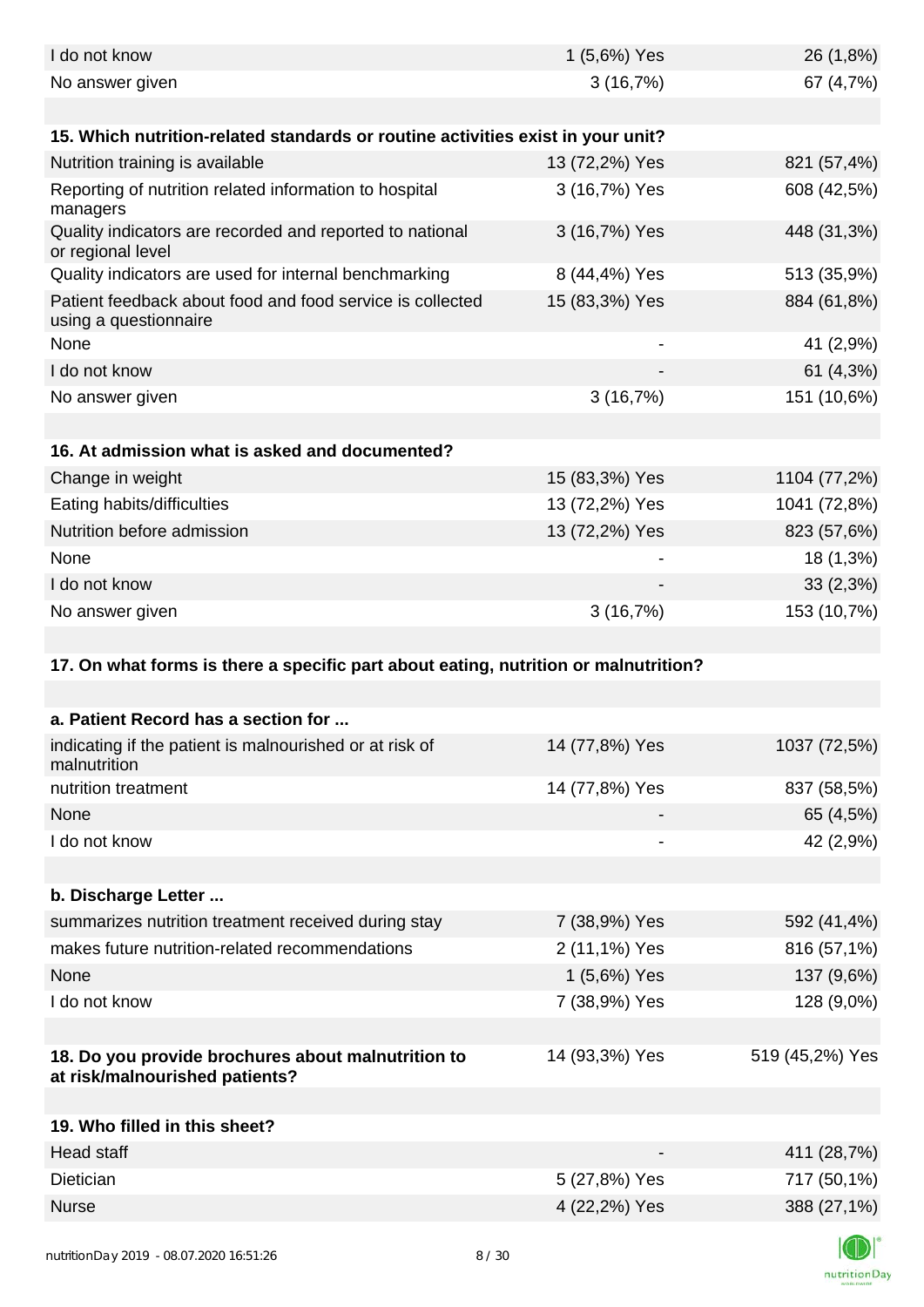| I do not know                                                                        | 1 (5,6%) Yes   | 26 (1,8%)       |
|--------------------------------------------------------------------------------------|----------------|-----------------|
| No answer given                                                                      | 3(16,7%)       | 67 (4,7%)       |
|                                                                                      |                |                 |
| 15. Which nutrition-related standards or routine activities exist in your unit?      |                |                 |
| Nutrition training is available                                                      | 13 (72,2%) Yes | 821 (57,4%)     |
| Reporting of nutrition related information to hospital<br>managers                   | 3 (16,7%) Yes  | 608 (42,5%)     |
| Quality indicators are recorded and reported to national<br>or regional level        | 3 (16,7%) Yes  | 448 (31,3%)     |
| Quality indicators are used for internal benchmarking                                | 8 (44,4%) Yes  | 513 (35,9%)     |
| Patient feedback about food and food service is collected<br>using a questionnaire   | 15 (83,3%) Yes | 884 (61,8%)     |
| None                                                                                 |                | 41 (2,9%)       |
| I do not know                                                                        |                | 61 (4,3%)       |
| No answer given                                                                      | 3(16,7%)       | 151 (10,6%)     |
| 16. At admission what is asked and documented?                                       |                |                 |
| Change in weight                                                                     | 15 (83,3%) Yes | 1104 (77,2%)    |
| Eating habits/difficulties                                                           | 13 (72,2%) Yes | 1041 (72,8%)    |
| Nutrition before admission                                                           | 13 (72,2%) Yes | 823 (57,6%)     |
| None                                                                                 |                | 18 (1,3%)       |
| I do not know                                                                        |                | 33(2,3%)        |
| No answer given                                                                      | 3(16,7%)       | 153 (10,7%)     |
|                                                                                      |                |                 |
| 17. On what forms is there a specific part about eating, nutrition or malnutrition?  |                |                 |
| a. Patient Record has a section for                                                  |                |                 |
| indicating if the patient is malnourished or at risk of<br>malnutrition              | 14 (77,8%) Yes | 1037 (72,5%)    |
| nutrition treatment                                                                  | 14 (77,8%) Yes | 837 (58,5%)     |
| None                                                                                 |                | 65 (4,5%)       |
| I do not know                                                                        |                | 42 (2,9%)       |
|                                                                                      |                |                 |
| b. Discharge Letter                                                                  |                |                 |
| summarizes nutrition treatment received during stay                                  | 7 (38,9%) Yes  | 592 (41,4%)     |
| makes future nutrition-related recommendations                                       | 2 (11,1%) Yes  | 816 (57,1%)     |
| None                                                                                 | 1 (5,6%) Yes   | 137 (9,6%)      |
| I do not know                                                                        | 7 (38,9%) Yes  | 128 (9,0%)      |
|                                                                                      |                |                 |
| 18. Do you provide brochures about malnutrition to<br>at risk/malnourished patients? | 14 (93,3%) Yes | 519 (45,2%) Yes |
|                                                                                      |                |                 |
| 19. Who filled in this sheet?                                                        |                |                 |
| Head staff                                                                           |                | 411 (28,7%)     |
| Dietician                                                                            | 5 (27,8%) Yes  | 717 (50,1%)     |
| <b>Nurse</b>                                                                         | 4 (22,2%) Yes  | 388 (27,1%)     |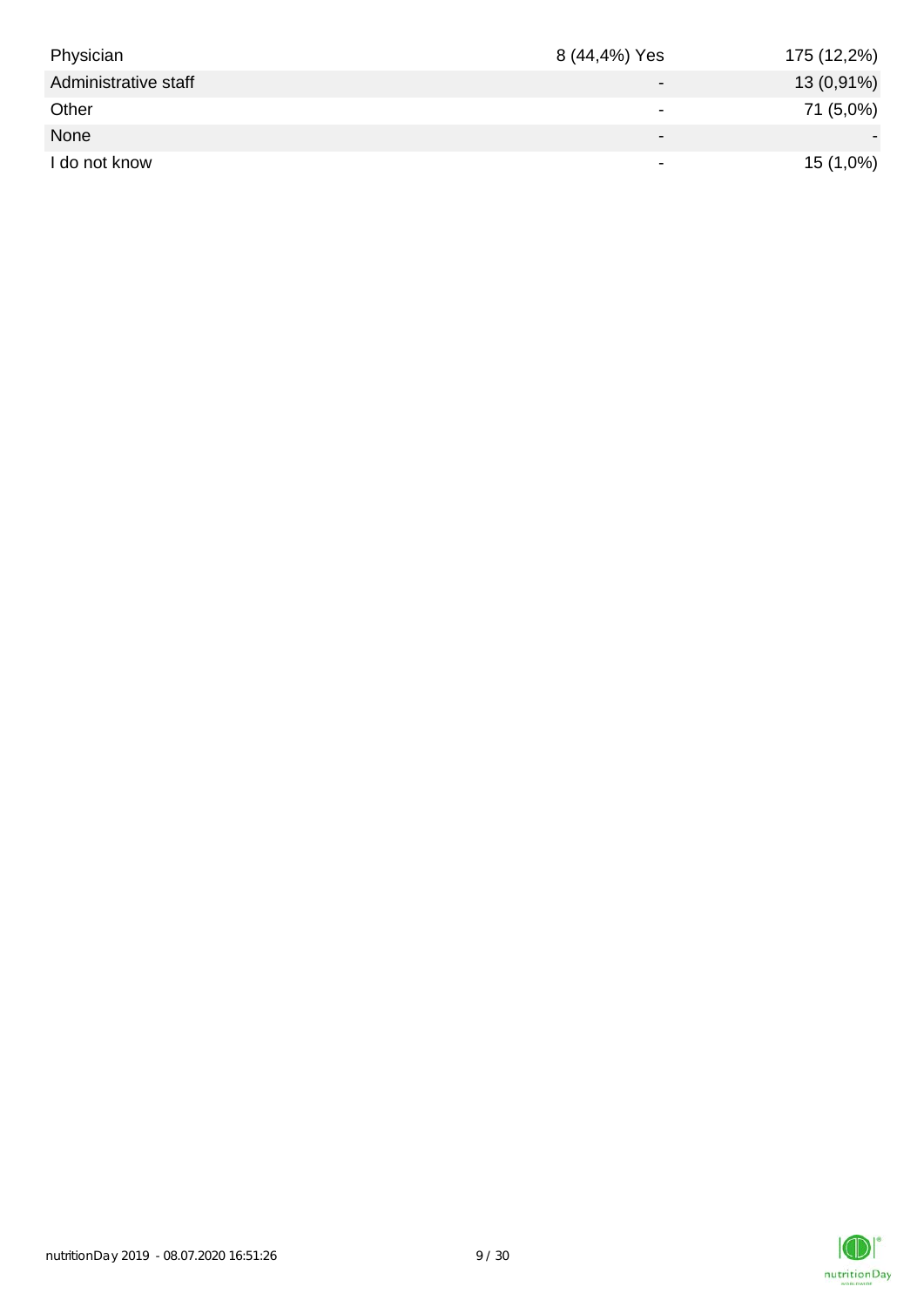| Physician            | 8 (44,4%) Yes            | 175 (12,2%) |
|----------------------|--------------------------|-------------|
| Administrative staff | $\qquad \qquad$          | 13 (0,91%)  |
| Other                | $\overline{\phantom{0}}$ | 71 (5,0%)   |
| None                 | $\blacksquare$           |             |
| I do not know        | $\,$                     | $15(1,0\%)$ |

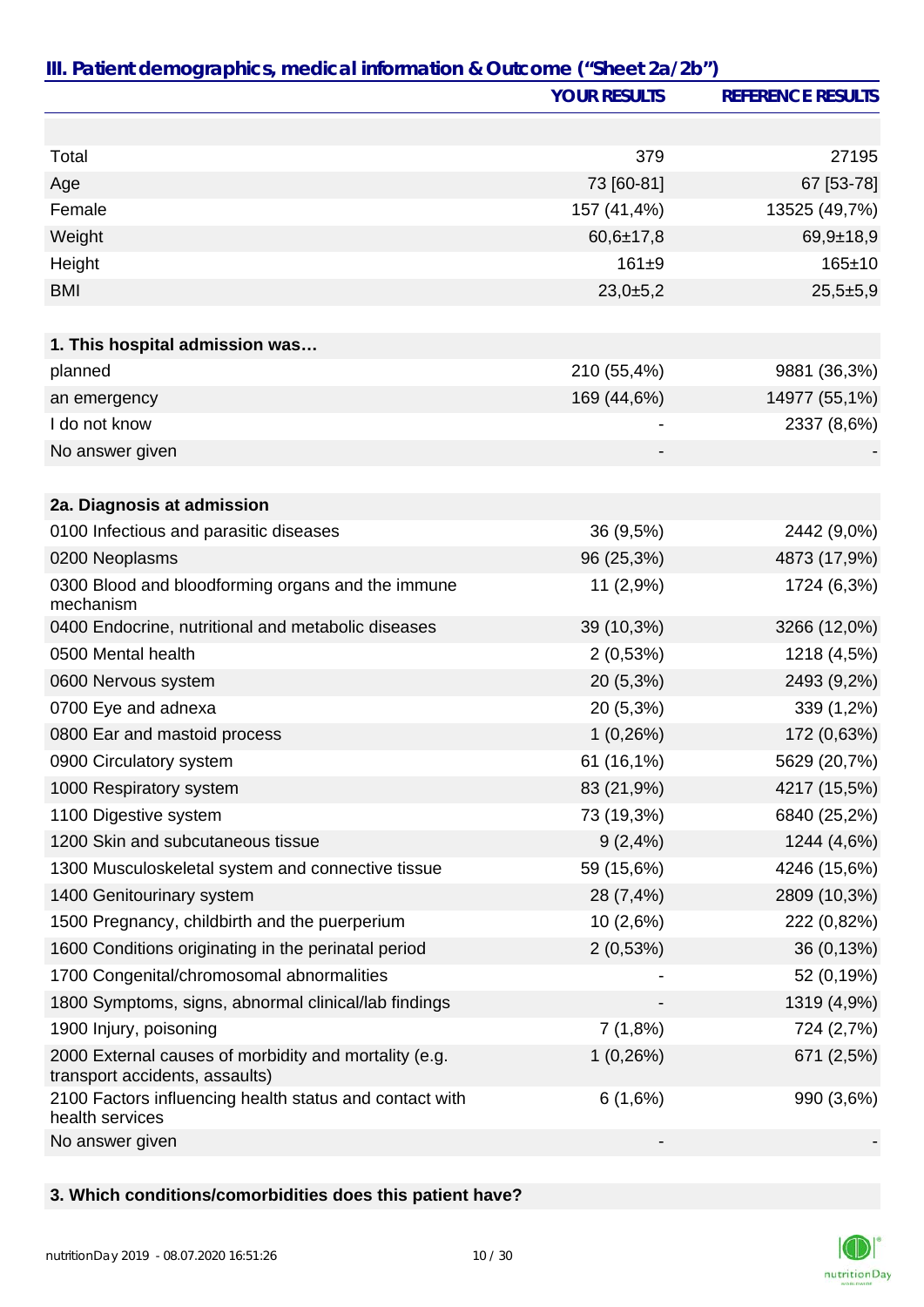|                                                                                         | <b>YOUR RESULTS</b> | <b>REFERENCE RESULTS</b> |
|-----------------------------------------------------------------------------------------|---------------------|--------------------------|
|                                                                                         |                     |                          |
| Total                                                                                   | 379                 | 27195                    |
| Age                                                                                     | 73 [60-81]          | 67 [53-78]               |
| Female                                                                                  | 157 (41,4%)         | 13525 (49,7%)            |
| Weight                                                                                  | $60,6{\pm}17,8$     | $69,9+18,9$              |
| Height                                                                                  | $161 + 9$           | $165 \pm 10$             |
| <b>BMI</b>                                                                              | 23,0±5,2            | $25,5+5,9$               |
|                                                                                         |                     |                          |
| 1. This hospital admission was                                                          |                     |                          |
| planned                                                                                 | 210 (55,4%)         | 9881 (36,3%)             |
| an emergency                                                                            | 169 (44,6%)         | 14977 (55,1%)            |
| I do not know                                                                           |                     | 2337 (8,6%)              |
| No answer given                                                                         |                     |                          |
|                                                                                         |                     |                          |
| 2a. Diagnosis at admission                                                              |                     |                          |
| 0100 Infectious and parasitic diseases                                                  | 36 (9,5%)           | 2442 (9,0%)              |
| 0200 Neoplasms                                                                          | 96 (25,3%)          | 4873 (17,9%)             |
| 0300 Blood and bloodforming organs and the immune<br>mechanism                          | 11 (2,9%)           | 1724 (6,3%)              |
| 0400 Endocrine, nutritional and metabolic diseases                                      | 39 (10,3%)          | 3266 (12,0%)             |
| 0500 Mental health                                                                      | 2(0,53%)            | 1218 (4,5%)              |
| 0600 Nervous system                                                                     | 20 (5,3%)           | 2493 (9,2%)              |
| 0700 Eye and adnexa                                                                     | 20 (5,3%)           | 339 (1,2%)               |
| 0800 Ear and mastoid process                                                            | 1(0,26%)            | 172 (0,63%)              |
| 0900 Circulatory system                                                                 | 61 (16,1%)          | 5629 (20,7%)             |
| 1000 Respiratory system                                                                 | 83 (21,9%)          | 4217 (15,5%)             |
| 1100 Digestive system                                                                   | 73 (19,3%)          | 6840 (25,2%)             |
| 1200 Skin and subcutaneous tissue                                                       | 9(2,4%)             | 1244 (4,6%)              |
| 1300 Musculoskeletal system and connective tissue                                       | 59 (15,6%)          | 4246 (15,6%)             |
| 1400 Genitourinary system                                                               | 28 (7,4%)           | 2809 (10,3%)             |
| 1500 Pregnancy, childbirth and the puerperium                                           | 10 (2,6%)           | 222 (0,82%)              |
| 1600 Conditions originating in the perinatal period                                     | 2(0,53%)            | 36 (0,13%)               |
| 1700 Congenital/chromosomal abnormalities                                               |                     | 52 (0,19%)               |
| 1800 Symptoms, signs, abnormal clinical/lab findings                                    |                     | 1319 (4,9%)              |
| 1900 Injury, poisoning                                                                  | 7(1,8%)             | 724 (2,7%)               |
| 2000 External causes of morbidity and mortality (e.g.<br>transport accidents, assaults) | 1(0,26%)            | 671 (2,5%)               |
| 2100 Factors influencing health status and contact with<br>health services              | 6(1,6%)             | 990 (3,6%)               |
| No answer given                                                                         |                     |                          |

# **3. Which conditions/comorbidities does this patient have?**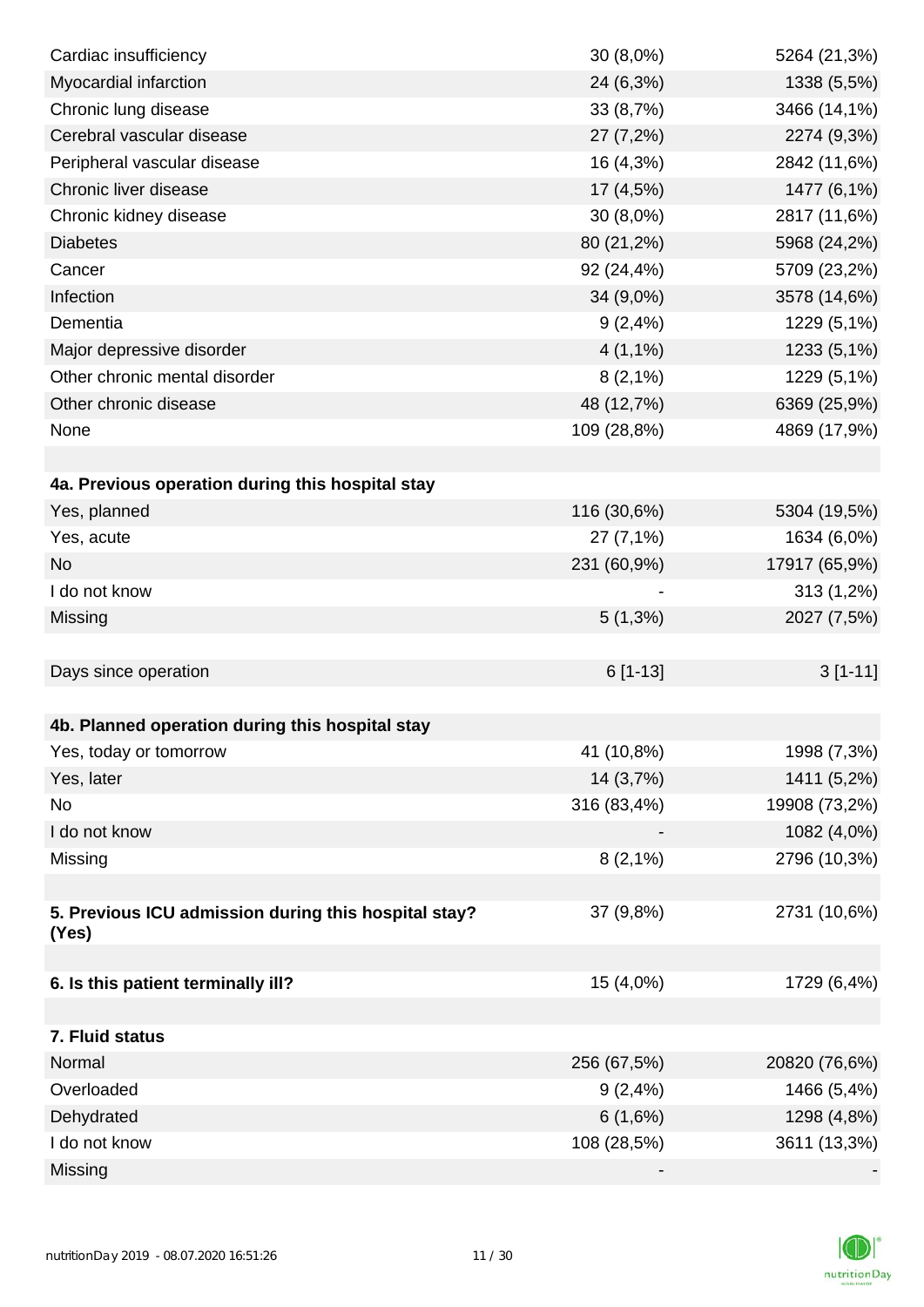| Cardiac insufficiency                                | $30(8,0\%)$ | 5264 (21,3%)  |
|------------------------------------------------------|-------------|---------------|
| Myocardial infarction                                | 24 (6,3%)   | 1338 (5,5%)   |
| Chronic lung disease                                 | 33 (8,7%)   | 3466 (14,1%)  |
| Cerebral vascular disease                            | 27 (7,2%)   | 2274 (9,3%)   |
| Peripheral vascular disease                          | 16 (4,3%)   | 2842 (11,6%)  |
| Chronic liver disease                                | 17 (4,5%)   | 1477 (6,1%)   |
| Chronic kidney disease                               | $30(8,0\%)$ | 2817 (11,6%)  |
| <b>Diabetes</b>                                      | 80 (21,2%)  | 5968 (24,2%)  |
| Cancer                                               | 92 (24,4%)  | 5709 (23,2%)  |
| Infection                                            | 34 (9,0%)   | 3578 (14,6%)  |
| Dementia                                             | 9(2,4%)     | 1229 (5,1%)   |
| Major depressive disorder                            | $4(1,1\%)$  | 1233 (5,1%)   |
| Other chronic mental disorder                        | $8(2,1\%)$  | 1229 (5,1%)   |
| Other chronic disease                                | 48 (12,7%)  | 6369 (25,9%)  |
| None                                                 | 109 (28,8%) | 4869 (17,9%)  |
|                                                      |             |               |
| 4a. Previous operation during this hospital stay     |             |               |
| Yes, planned                                         | 116 (30,6%) | 5304 (19,5%)  |
| Yes, acute                                           | 27 (7,1%)   | 1634 (6,0%)   |
| <b>No</b>                                            | 231 (60,9%) | 17917 (65,9%) |
| I do not know                                        |             | 313 (1,2%)    |
| Missing                                              | $5(1,3\%)$  | 2027 (7,5%)   |
|                                                      |             |               |
| Days since operation                                 | $6[1-13]$   | $3[1-11]$     |
|                                                      |             |               |
| 4b. Planned operation during this hospital stay      |             |               |
| Yes, today or tomorrow                               | 41 (10,8%)  | 1998 (7,3%)   |
| Yes, later                                           | 14 (3,7%)   | 1411 (5,2%)   |
| No                                                   | 316 (83,4%) | 19908 (73,2%) |
| I do not know                                        |             | 1082 (4,0%)   |
| Missing                                              | $8(2,1\%)$  | 2796 (10,3%)  |
|                                                      |             |               |
| 5. Previous ICU admission during this hospital stay? | 37 (9,8%)   | 2731 (10,6%)  |
| (Yes)                                                |             |               |
| 6. Is this patient terminally ill?                   | 15 (4,0%)   | 1729 (6,4%)   |
|                                                      |             |               |
| 7. Fluid status                                      |             |               |
| Normal                                               | 256 (67,5%) | 20820 (76,6%) |
| Overloaded                                           | $9(2, 4\%)$ | 1466 (5,4%)   |
| Dehydrated                                           | 6(1,6%)     | 1298 (4,8%)   |
| I do not know                                        | 108 (28,5%) | 3611 (13,3%)  |
| Missing                                              |             |               |
|                                                      |             |               |

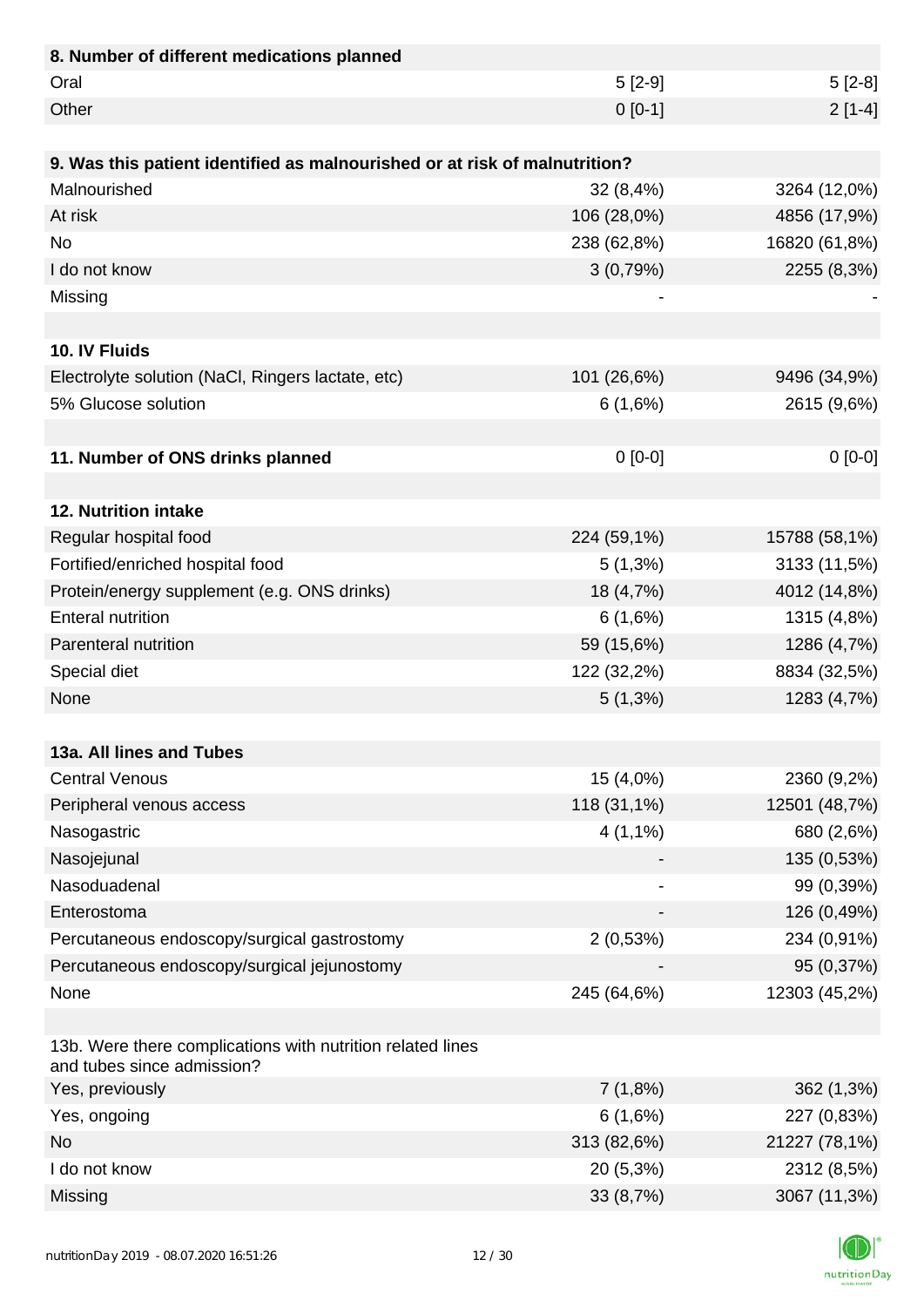| 8. Number of different medications planned                                               |             |               |
|------------------------------------------------------------------------------------------|-------------|---------------|
| Oral                                                                                     | $5[2-9]$    | $5[2-8]$      |
| Other                                                                                    | $0 [0-1]$   | $2[1-4]$      |
|                                                                                          |             |               |
| 9. Was this patient identified as malnourished or at risk of malnutrition?               |             |               |
| Malnourished                                                                             | 32(8,4%)    | 3264 (12,0%)  |
| At risk                                                                                  | 106 (28,0%) | 4856 (17,9%)  |
| <b>No</b>                                                                                | 238 (62,8%) | 16820 (61,8%) |
| I do not know                                                                            | 3(0,79%)    | 2255 (8,3%)   |
| Missing                                                                                  |             |               |
|                                                                                          |             |               |
| 10. IV Fluids                                                                            |             |               |
| Electrolyte solution (NaCl, Ringers lactate, etc)                                        | 101 (26,6%) | 9496 (34,9%)  |
| 5% Glucose solution                                                                      | 6(1,6%)     | 2615 (9,6%)   |
|                                                                                          |             |               |
| 11. Number of ONS drinks planned                                                         | $0[0-0]$    | $0[0-0]$      |
|                                                                                          |             |               |
| 12. Nutrition intake                                                                     |             |               |
| Regular hospital food                                                                    | 224 (59,1%) | 15788 (58,1%) |
| Fortified/enriched hospital food                                                         | $5(1,3\%)$  | 3133 (11,5%)  |
| Protein/energy supplement (e.g. ONS drinks)                                              | 18 (4,7%)   | 4012 (14,8%)  |
| <b>Enteral nutrition</b>                                                                 | 6(1,6%)     | 1315 (4,8%)   |
| Parenteral nutrition                                                                     | 59 (15,6%)  | 1286 (4,7%)   |
| Special diet                                                                             | 122 (32,2%) | 8834 (32,5%)  |
| None                                                                                     | $5(1,3\%)$  | 1283 (4,7%)   |
|                                                                                          |             |               |
| 13a. All lines and Tubes                                                                 |             |               |
| <b>Central Venous</b>                                                                    | 15 (4,0%)   | 2360 (9,2%)   |
| Peripheral venous access                                                                 | 118 (31,1%) | 12501 (48,7%) |
| Nasogastric                                                                              | $4(1,1\%)$  | 680 (2,6%)    |
| Nasojejunal                                                                              |             | 135 (0,53%)   |
| Nasoduadenal                                                                             |             | 99 (0,39%)    |
| Enterostoma                                                                              |             | 126 (0,49%)   |
| Percutaneous endoscopy/surgical gastrostomy                                              | 2(0,53%)    | 234 (0,91%)   |
| Percutaneous endoscopy/surgical jejunostomy                                              |             | 95 (0,37%)    |
| None                                                                                     | 245 (64,6%) | 12303 (45,2%) |
|                                                                                          |             |               |
| 13b. Were there complications with nutrition related lines<br>and tubes since admission? |             |               |
| Yes, previously                                                                          | 7(1,8%)     | 362 (1,3%)    |
| Yes, ongoing                                                                             | 6(1,6%)     | 227 (0,83%)   |
| <b>No</b>                                                                                | 313 (82,6%) | 21227 (78,1%) |
| I do not know                                                                            | 20 (5,3%)   | 2312 (8,5%)   |
| Missing                                                                                  | 33 (8,7%)   | 3067 (11,3%)  |

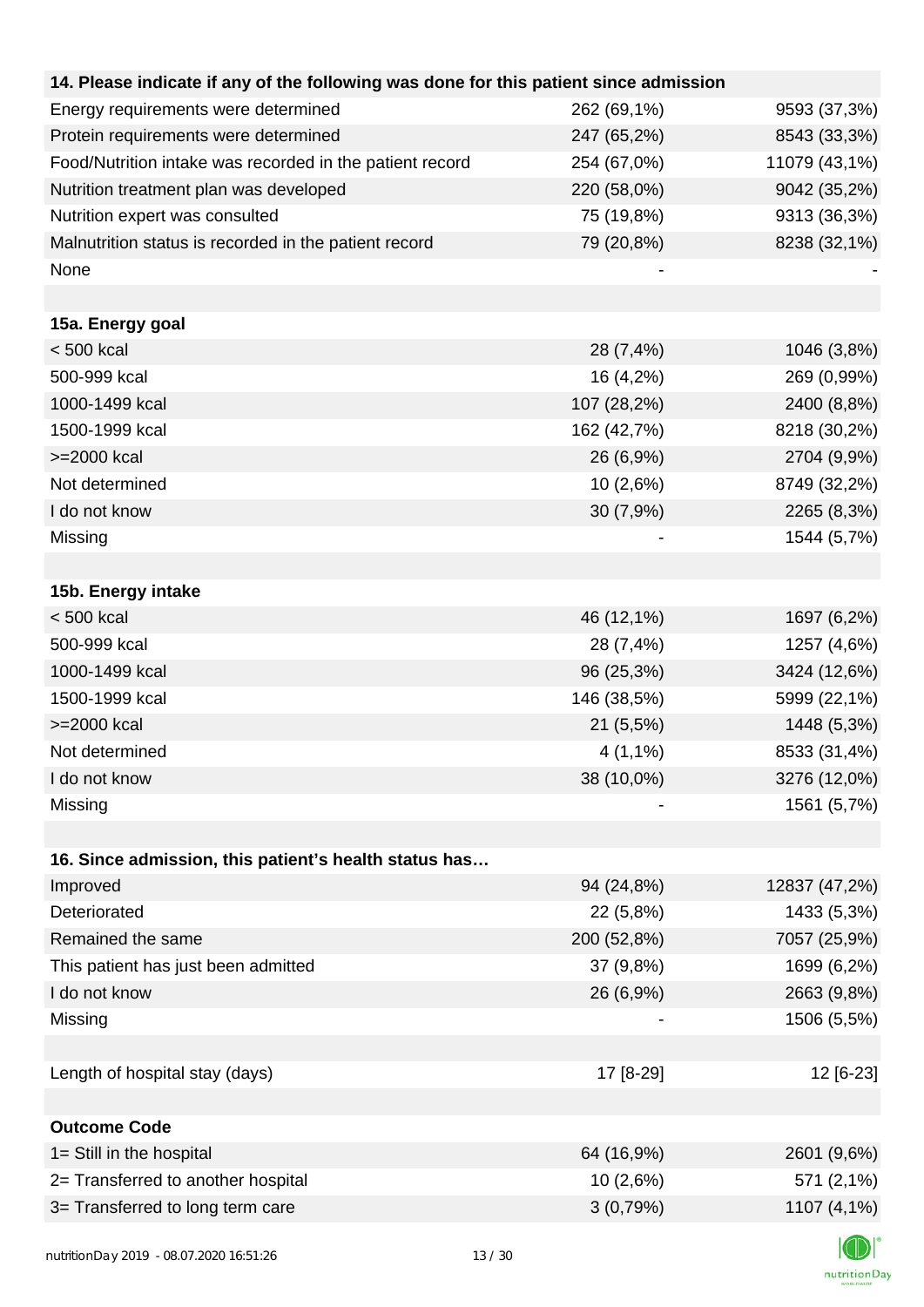| 14. Please indicate if any of the following was done for this patient since admission |             |               |
|---------------------------------------------------------------------------------------|-------------|---------------|
| Energy requirements were determined                                                   | 262 (69,1%) | 9593 (37,3%)  |
| Protein requirements were determined                                                  | 247 (65,2%) | 8543 (33,3%)  |
| Food/Nutrition intake was recorded in the patient record                              | 254 (67,0%) | 11079 (43,1%) |
| Nutrition treatment plan was developed                                                | 220 (58,0%) | 9042 (35,2%)  |
| Nutrition expert was consulted                                                        | 75 (19,8%)  | 9313 (36,3%)  |
| Malnutrition status is recorded in the patient record                                 | 79 (20,8%)  | 8238 (32,1%)  |
| None                                                                                  |             |               |
|                                                                                       |             |               |
| 15a. Energy goal                                                                      |             |               |
| $< 500$ kcal                                                                          | 28 (7,4%)   | 1046 (3,8%)   |
| 500-999 kcal                                                                          | 16 (4,2%)   | 269 (0,99%)   |
| 1000-1499 kcal                                                                        | 107 (28,2%) | 2400 (8,8%)   |
| 1500-1999 kcal                                                                        | 162 (42,7%) | 8218 (30,2%)  |
| >=2000 kcal                                                                           | 26 (6,9%)   | 2704 (9,9%)   |
| Not determined                                                                        | 10 (2,6%)   | 8749 (32,2%)  |
| I do not know                                                                         | 30(7,9%)    | 2265 (8,3%)   |
| Missing                                                                               |             | 1544 (5,7%)   |
|                                                                                       |             |               |
| 15b. Energy intake                                                                    |             |               |
| $< 500$ kcal                                                                          | 46 (12,1%)  | 1697 (6,2%)   |
| 500-999 kcal                                                                          | 28 (7,4%)   | 1257 (4,6%)   |
| 1000-1499 kcal                                                                        | 96 (25,3%)  | 3424 (12,6%)  |
| 1500-1999 kcal                                                                        | 146 (38,5%) | 5999 (22,1%)  |
| >=2000 kcal                                                                           | 21 (5,5%)   | 1448 (5,3%)   |
| Not determined                                                                        | $4(1,1\%)$  | 8533 (31,4%)  |
| I do not know                                                                         | 38 (10,0%)  | 3276 (12,0%)  |
| Missing                                                                               |             | 1561 (5,7%)   |
|                                                                                       |             |               |
| 16. Since admission, this patient's health status has                                 |             |               |
| Improved                                                                              | 94 (24,8%)  | 12837 (47,2%) |
| Deteriorated                                                                          | 22 (5,8%)   | 1433 (5,3%)   |
| Remained the same                                                                     | 200 (52,8%) | 7057 (25,9%)  |
| This patient has just been admitted                                                   | 37 (9,8%)   | 1699 (6,2%)   |
| I do not know                                                                         | 26 (6,9%)   | 2663 (9,8%)   |
| Missing                                                                               |             | 1506 (5,5%)   |
|                                                                                       |             |               |
| Length of hospital stay (days)                                                        | 17 [8-29]   | 12 [6-23]     |
|                                                                                       |             |               |
| <b>Outcome Code</b>                                                                   |             |               |
| 1= Still in the hospital                                                              | 64 (16,9%)  | 2601 (9,6%)   |
| 2= Transferred to another hospital                                                    | 10 (2,6%)   | 571 (2,1%)    |
| 3= Transferred to long term care                                                      | 3(0,79%)    | 1107 (4,1%)   |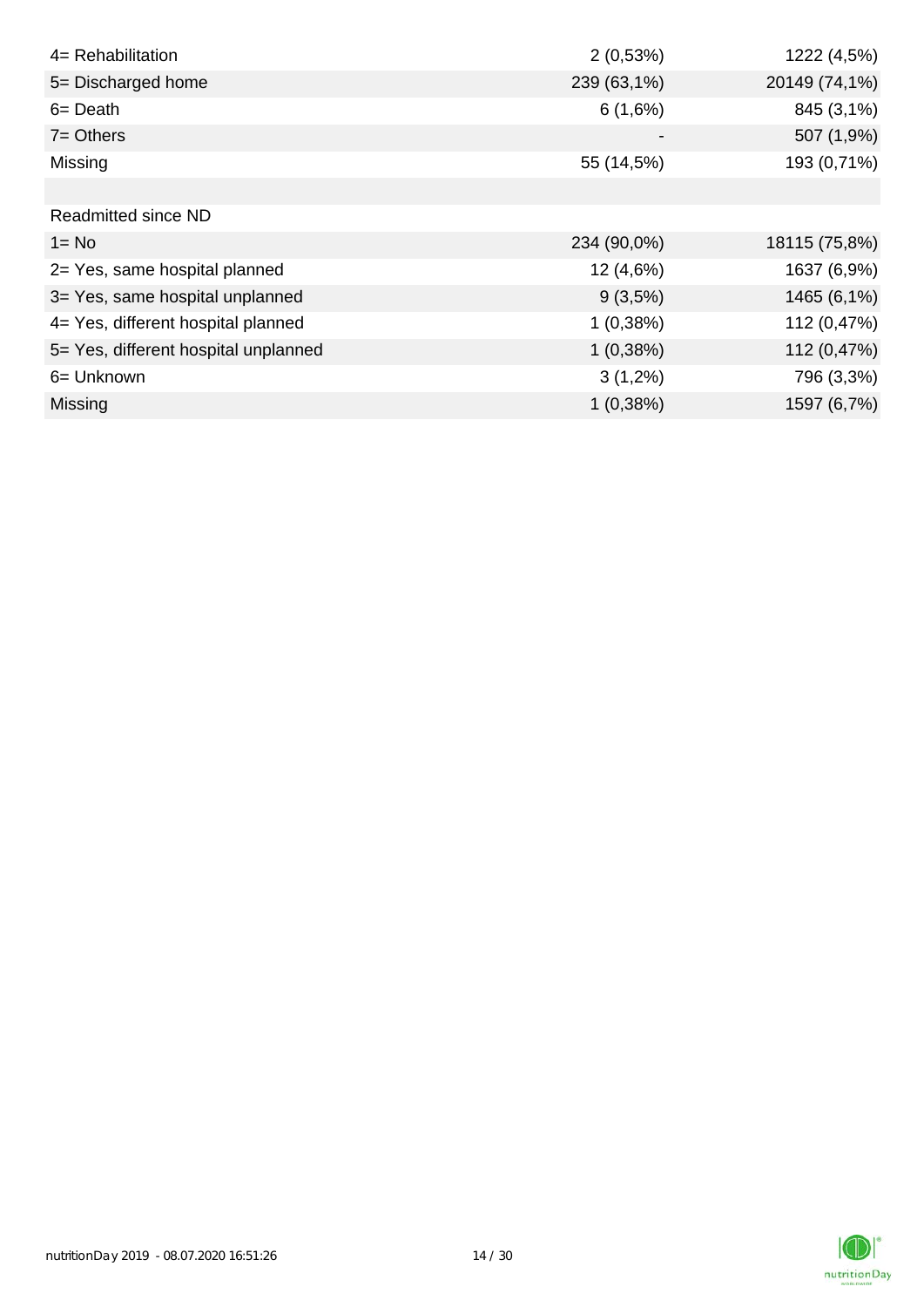| 4= Rehabilitation                    | 2(0,53%)    | 1222 (4,5%)   |
|--------------------------------------|-------------|---------------|
| 5= Discharged home                   | 239 (63,1%) | 20149 (74,1%) |
| $6 = Death$                          | 6(1,6%)     | 845 (3,1%)    |
| $7 =$ Others                         |             | 507 (1,9%)    |
| Missing                              | 55 (14,5%)  | 193 (0,71%)   |
|                                      |             |               |
| <b>Readmitted since ND</b>           |             |               |
| $1 = No$                             | 234 (90,0%) | 18115 (75,8%) |
| 2= Yes, same hospital planned        | 12 (4,6%)   | 1637 (6,9%)   |
| 3= Yes, same hospital unplanned      | $9(3,5\%)$  | 1465 (6,1%)   |
| 4= Yes, different hospital planned   | 1(0,38%)    | 112 (0,47%)   |
| 5= Yes, different hospital unplanned | 1(0,38%)    | 112 (0,47%)   |
| 6= Unknown                           | $3(1,2\%)$  | 796 (3,3%)    |
| <b>Missing</b>                       | 1(0,38%)    | 1597 (6,7%)   |

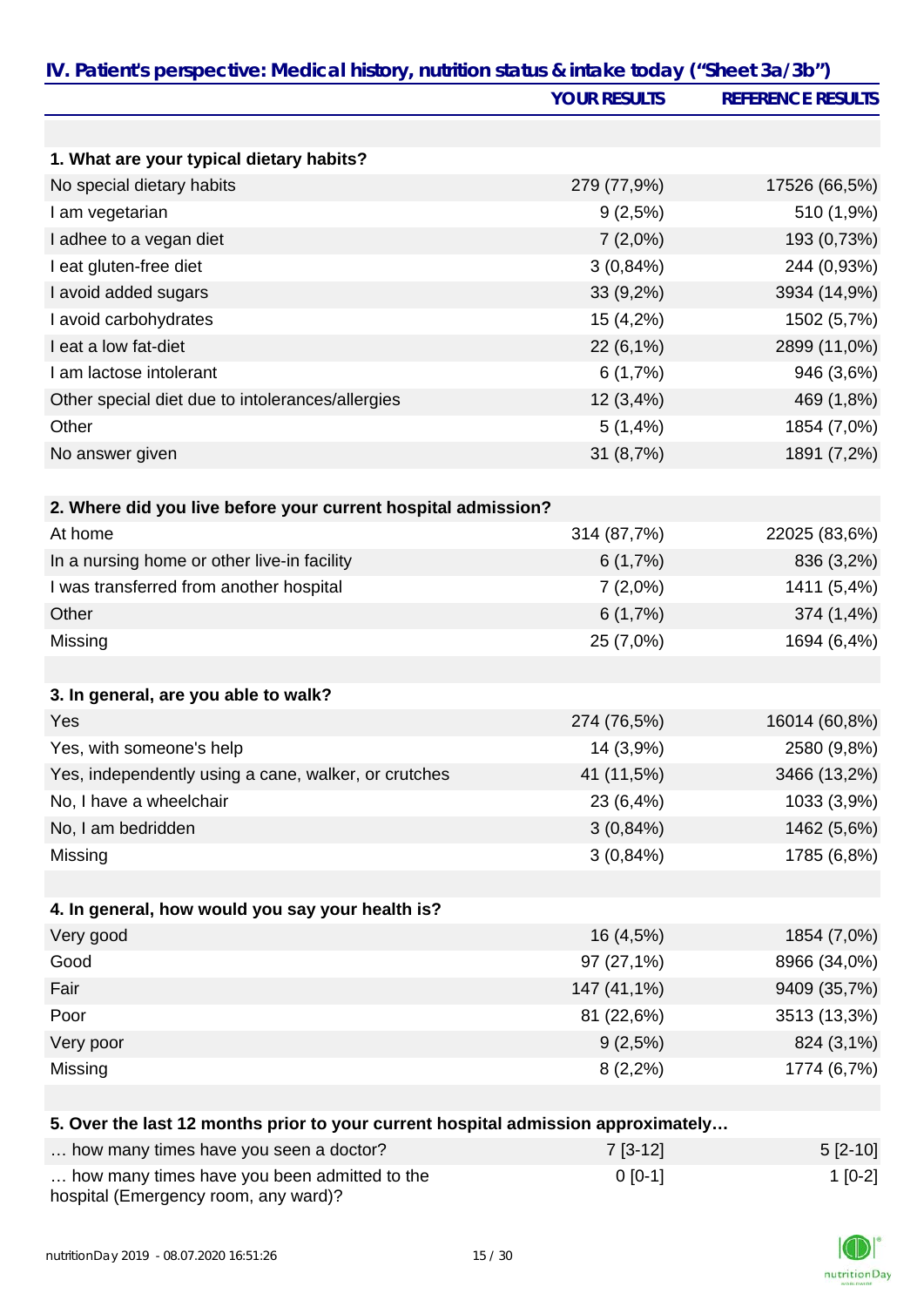|                                                                                   | <b>YOUR RESULTS</b> | <b>REFERENCE RESULTS</b> |
|-----------------------------------------------------------------------------------|---------------------|--------------------------|
|                                                                                   |                     |                          |
| 1. What are your typical dietary habits?                                          |                     |                          |
| No special dietary habits                                                         | 279 (77,9%)         | 17526 (66,5%)            |
| I am vegetarian                                                                   | 9(2,5%)             | 510 (1,9%)               |
| I adhee to a vegan diet                                                           | $7(2,0\%)$          | 193 (0,73%)              |
| I eat gluten-free diet                                                            | 3(0,84%)            | 244 (0,93%)              |
| I avoid added sugars                                                              | 33 (9,2%)           | 3934 (14,9%)             |
| I avoid carbohydrates                                                             | 15(4,2%)            | 1502 (5,7%)              |
| I eat a low fat-diet                                                              | 22 (6,1%)           | 2899 (11,0%)             |
| I am lactose intolerant                                                           | 6(1,7%)             | 946 (3,6%)               |
| Other special diet due to intolerances/allergies                                  | 12(3,4%)            | 469 (1,8%)               |
| Other                                                                             | 5(1,4%              | 1854 (7,0%)              |
| No answer given                                                                   | 31 (8,7%)           | 1891 (7,2%)              |
|                                                                                   |                     |                          |
| 2. Where did you live before your current hospital admission?                     |                     |                          |
| At home                                                                           | 314 (87,7%)         | 22025 (83,6%)            |
| In a nursing home or other live-in facility                                       | 6(1,7%)             | 836 (3,2%)               |
| I was transferred from another hospital                                           | $7(2,0\%)$          | 1411 (5,4%)              |
| Other                                                                             | 6(1,7%)             | 374 (1,4%)               |
| Missing                                                                           | 25 (7,0%)           | 1694 (6,4%)              |
|                                                                                   |                     |                          |
| 3. In general, are you able to walk?                                              |                     |                          |
| Yes                                                                               | 274 (76,5%)         | 16014 (60,8%)            |
| Yes, with someone's help                                                          | 14 (3,9%)           | 2580 (9,8%)              |
| Yes, independently using a cane, walker, or crutches                              | 41 (11,5%)          | 3466 (13,2%)             |
| No, I have a wheelchair                                                           | 23 (6,4%)           | 1033 (3,9%)              |
| No, I am bedridden                                                                | $3(0,84\%)$         | 1462 (5,6%)              |
| Missing                                                                           | 3(0,84%)            | 1785 (6,8%)              |
| 4. In general, how would you say your health is?                                  |                     |                          |
| Very good                                                                         | 16 (4,5%)           | 1854 (7,0%)              |
| Good                                                                              | 97 (27,1%)          | 8966 (34,0%)             |
| Fair                                                                              | 147 (41,1%)         | 9409 (35,7%)             |
| Poor                                                                              | 81 (22,6%)          | 3513 (13,3%)             |
| Very poor                                                                         | 9(2,5%)             | 824 (3,1%)               |
| Missing                                                                           | $8(2,2\%)$          | 1774 (6,7%)              |
|                                                                                   |                     |                          |
| 5. Over the last 12 months prior to your current hospital admission approximately |                     |                          |
| how many times have you seen a doctor?                                            | $7[3-12]$           | $5[2-10]$                |

| How many units have you seen a doctor:                                               | 11212     | $UZ^-U$  |
|--------------------------------------------------------------------------------------|-----------|----------|
| how many times have you been admitted to the<br>hospital (Emergency room, any ward)? | $0$ [0-1] | $1[0-2]$ |

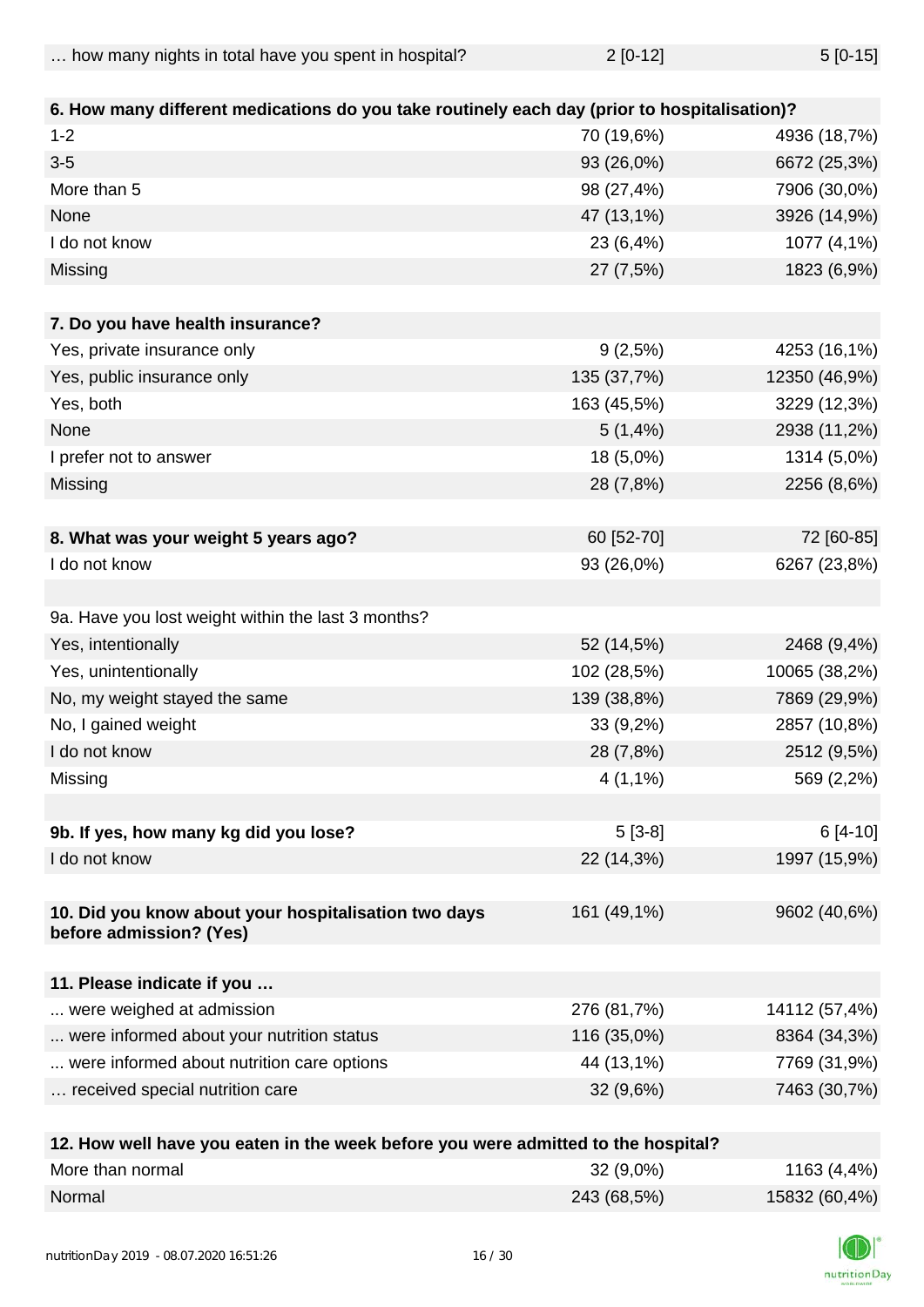| $5[0-15]$ |
|-----------|
|           |

| 6. How many different medications do you take routinely each day (prior to hospitalisation)? |                           |               |
|----------------------------------------------------------------------------------------------|---------------------------|---------------|
| $1 - 2$                                                                                      | 70 (19,6%)                | 4936 (18,7%)  |
| $3-5$                                                                                        | 93 (26,0%)                | 6672 (25,3%)  |
| More than 5                                                                                  | 98 (27,4%)                | 7906 (30,0%)  |
| None                                                                                         | 47 (13,1%)                | 3926 (14,9%)  |
| I do not know                                                                                | 23 (6,4%)                 | 1077 (4,1%)   |
| Missing                                                                                      | 27 (7,5%)                 | 1823 (6,9%)   |
| 7. Do you have health insurance?                                                             |                           |               |
| Yes, private insurance only                                                                  | 9(2,5%)                   | 4253 (16,1%)  |
| Yes, public insurance only                                                                   | 135 (37,7%)               | 12350 (46,9%) |
| Yes, both                                                                                    | 163 (45,5%)               | 3229 (12,3%)  |
| None                                                                                         | 5(1,4%)                   | 2938 (11,2%)  |
| I prefer not to answer                                                                       | 18 (5,0%)                 | 1314 (5,0%)   |
| Missing                                                                                      | 28 (7,8%)                 | 2256 (8,6%)   |
|                                                                                              |                           |               |
| 8. What was your weight 5 years ago?                                                         | 60 [52-70]                | 72 [60-85]    |
| I do not know                                                                                | 93 (26,0%)                | 6267 (23,8%)  |
|                                                                                              |                           |               |
| 9a. Have you lost weight within the last 3 months?                                           |                           |               |
| Yes, intentionally                                                                           | 52 (14,5%)                | 2468 (9,4%)   |
| Yes, unintentionally                                                                         | 102 (28,5%)               | 10065 (38,2%) |
| No, my weight stayed the same                                                                | 139 (38,8%)               | 7869 (29,9%)  |
| No, I gained weight                                                                          | 33 (9,2%)                 | 2857 (10,8%)  |
| I do not know                                                                                | 28 (7,8%)                 | 2512 (9,5%)   |
| Missing                                                                                      | $4(1,1\%)$                | 569 (2,2%)    |
|                                                                                              |                           |               |
| 9b. If yes, how many kg did you lose?                                                        | $5[3-8]$                  | 6 [4-10]      |
| I do not know                                                                                | 22 (14,3%)                | 1997 (15,9%)  |
| 10. Did you know about your hospitalisation two days<br>before admission? (Yes)              | 161 (49,1%)               | 9602 (40,6%)  |
| 11. Please indicate if you                                                                   |                           |               |
| were weighed at admission                                                                    | 276 (81,7%)               | 14112 (57,4%) |
| were informed about your nutrition status                                                    | 116 (35,0%)               | 8364 (34,3%)  |
| were informed about nutrition care options                                                   | 44 (13,1%)                | 7769 (31,9%)  |
| received special nutrition care                                                              | 32 (9,6%)                 | 7463 (30,7%)  |
|                                                                                              |                           |               |
| 49 Haw well have you esten in the week hefere you want                                       | Oletical to the headthal? |               |

| 12. How well have you eaten in the week before you were admitted to the hospital? |             |               |
|-----------------------------------------------------------------------------------|-------------|---------------|
| More than normal                                                                  | $32(9,0\%)$ | 1163 (4,4%)   |
| Normal                                                                            | 243 (68,5%) | 15832 (60,4%) |

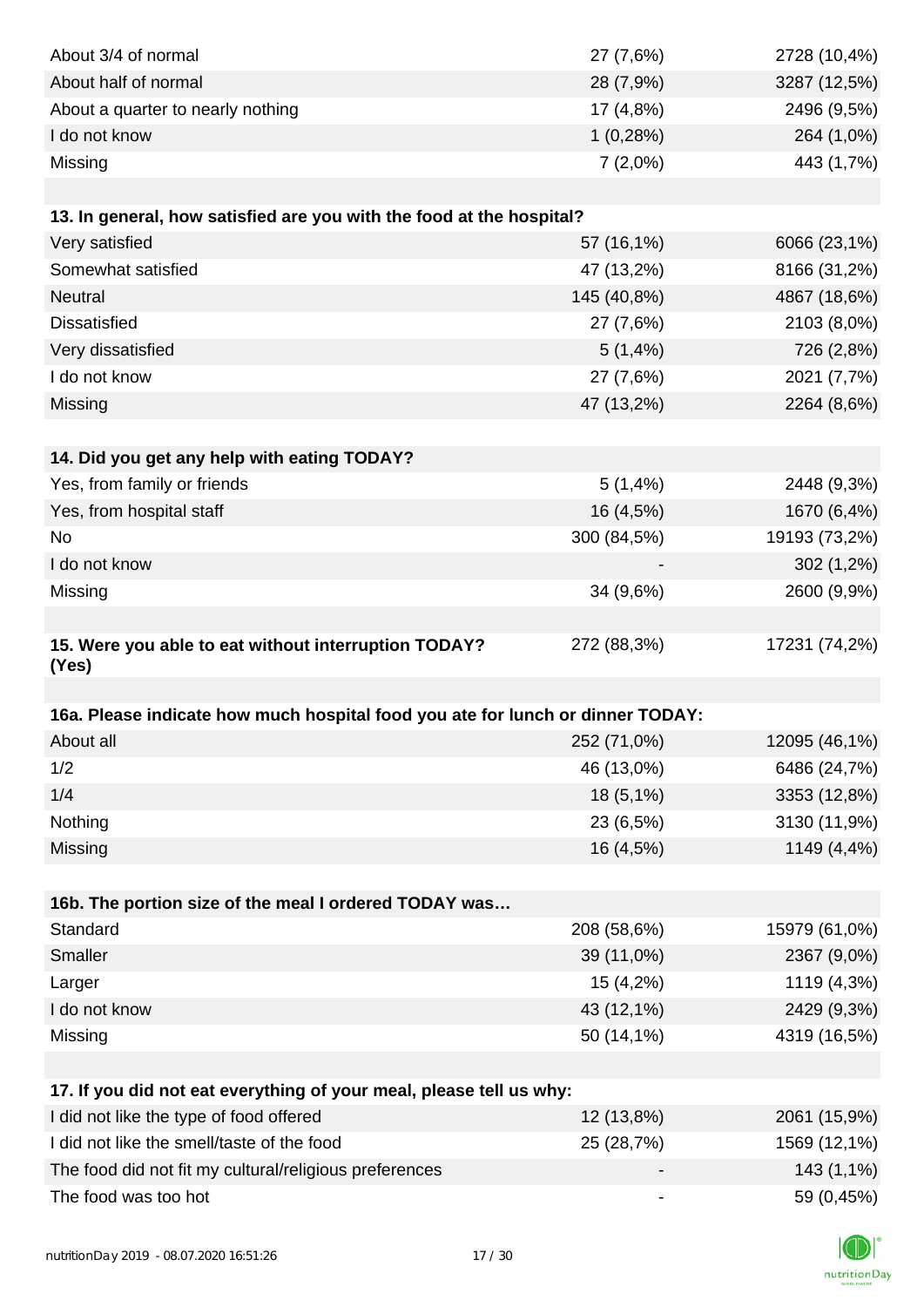| About 3/4 of normal                                                            | 27 (7,6%)                    | 2728 (10,4%)  |
|--------------------------------------------------------------------------------|------------------------------|---------------|
| About half of normal                                                           | 28 (7,9%)                    | 3287 (12,5%)  |
| About a quarter to nearly nothing                                              | 17 (4,8%)                    | 2496 (9,5%)   |
| I do not know                                                                  | 1(0,28%)                     | 264 (1,0%)    |
| Missing                                                                        | $7(2,0\%)$                   | 443 (1,7%)    |
|                                                                                |                              |               |
| 13. In general, how satisfied are you with the food at the hospital?           |                              |               |
| Very satisfied                                                                 | 57 (16,1%)                   | 6066 (23,1%)  |
| Somewhat satisfied                                                             | 47 (13,2%)                   | 8166 (31,2%)  |
| Neutral                                                                        | 145 (40,8%)                  | 4867 (18,6%)  |
| <b>Dissatisfied</b>                                                            | 27 (7,6%)                    | 2103 (8,0%)   |
| Very dissatisfied                                                              | 5(1,4%)                      | 726 (2,8%)    |
| I do not know                                                                  | 27 (7,6%)                    | 2021 (7,7%)   |
| Missing                                                                        | 47 (13,2%)                   | 2264 (8,6%)   |
|                                                                                |                              |               |
| 14. Did you get any help with eating TODAY?                                    |                              |               |
| Yes, from family or friends                                                    | 5(1,4%                       | 2448 (9,3%)   |
| Yes, from hospital staff                                                       | 16 (4,5%)                    | 1670 (6,4%)   |
| <b>No</b>                                                                      | 300 (84,5%)                  | 19193 (73,2%) |
| I do not know                                                                  |                              | 302 (1,2%)    |
| Missing                                                                        | 34 (9,6%)                    | 2600 (9,9%)   |
|                                                                                |                              |               |
| 15. Were you able to eat without interruption TODAY?                           | 272 (88,3%)                  | 17231 (74,2%) |
| (Yes)                                                                          |                              |               |
|                                                                                |                              |               |
| 16a. Please indicate how much hospital food you ate for lunch or dinner TODAY: |                              |               |
| About all                                                                      | 252 (71,0%)                  | 12095 (46,1%) |
| 1/2                                                                            | 46 (13,0%)                   | 6486 (24,7%)  |
| 1/4                                                                            | 18 (5,1%)                    | 3353 (12,8%)  |
| Nothing                                                                        | 23 (6,5%)                    | 3130 (11,9%)  |
| Missing                                                                        | 16 (4,5%)                    | 1149 (4,4%)   |
|                                                                                |                              |               |
| 16b. The portion size of the meal I ordered TODAY was                          |                              |               |
| Standard                                                                       | 208 (58,6%)                  | 15979 (61,0%) |
| Smaller                                                                        | 39 (11,0%)                   | 2367 (9,0%)   |
| Larger                                                                         | 15 (4,2%)                    | 1119 (4,3%)   |
| I do not know                                                                  | 43 (12,1%)                   | 2429 (9,3%)   |
| Missing                                                                        | 50 (14,1%)                   | 4319 (16,5%)  |
|                                                                                |                              |               |
| 17. If you did not eat everything of your meal, please tell us why:            |                              |               |
| I did not like the type of food offered                                        | 12 (13,8%)                   | 2061 (15,9%)  |
| I did not like the smell/taste of the food                                     | 25 (28,7%)                   | 1569 (12,1%)  |
| The food did not fit my cultural/religious preferences                         |                              | 143 (1,1%)    |
| The food was too hot                                                           | $\qquad \qquad \blacksquare$ | 59 (0,45%)    |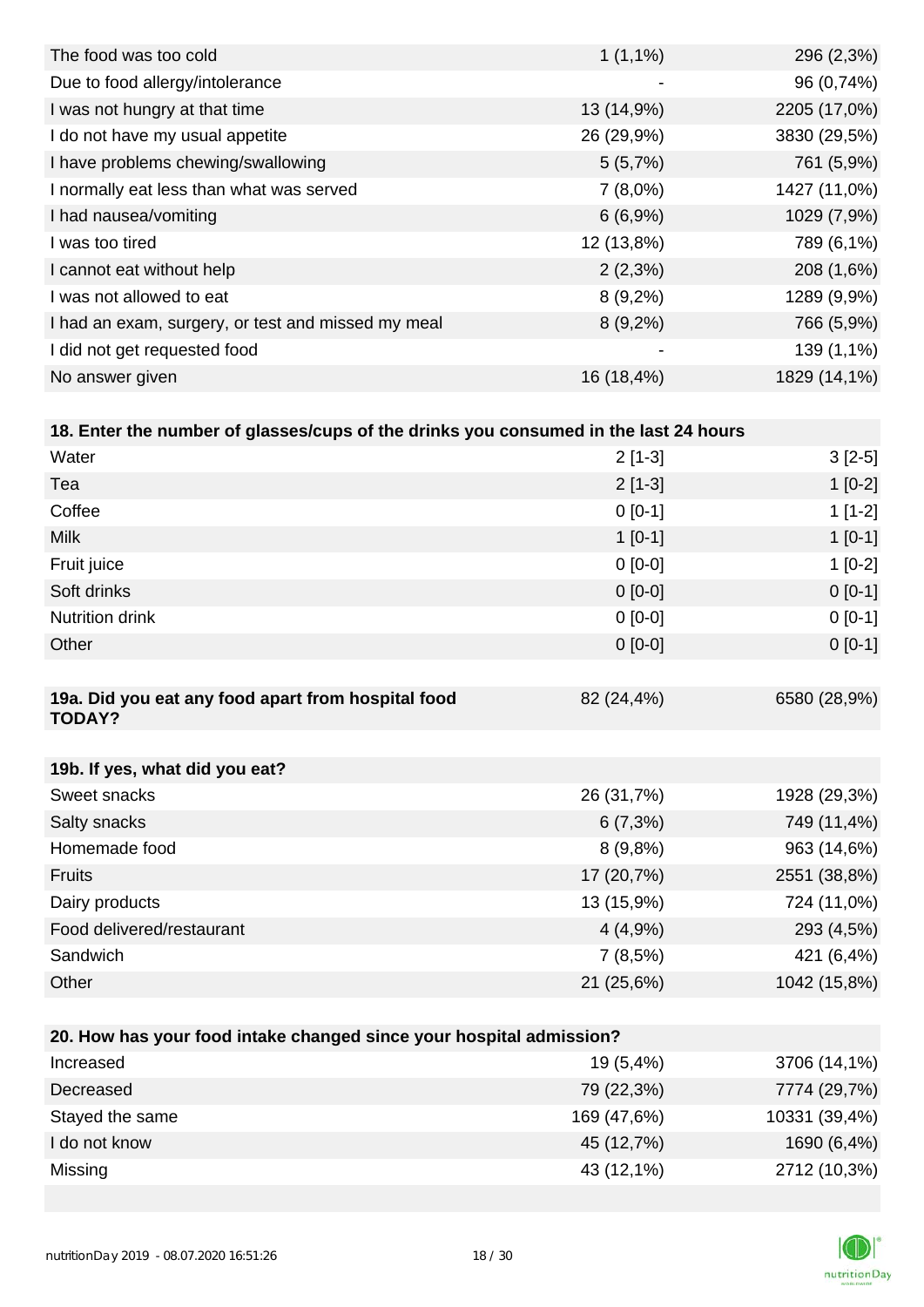| $1(1,1\%)$ | 296 (2,3%)   |
|------------|--------------|
| -          | 96 (0,74%)   |
| 13 (14,9%) | 2205 (17,0%) |
| 26 (29,9%) | 3830 (29,5%) |
| 5(5,7%)    | 761 (5,9%)   |
| $7(8,0\%)$ | 1427 (11,0%) |
| 6(6,9%)    | 1029 (7,9%)  |
| 12 (13,8%) | 789 (6,1%)   |
| $2(2,3\%)$ | 208 (1,6%)   |
| $8(9,2\%)$ | 1289 (9,9%)  |
| $8(9,2\%)$ | 766 (5,9%)   |
| -          | 139 (1,1%)   |
| 16 (18,4%) | 1829 (14,1%) |
|            |              |

| 18. Enter the number of glasses/cups of the drinks you consumed in the last 24 hours |            |              |
|--------------------------------------------------------------------------------------|------------|--------------|
| Water                                                                                | $2[1-3]$   | $3[2-5]$     |
| Tea                                                                                  | $2[1-3]$   | $1$ [0-2]    |
| Coffee                                                                               | $0[0-1]$   | $1[1-2]$     |
| <b>Milk</b>                                                                          | $1[0-1]$   | $1$ [0-1]    |
| Fruit juice                                                                          | $0 [0-0]$  | $1[0-2]$     |
| Soft drinks                                                                          | $0 [0-0]$  | $0 [0-1]$    |
| <b>Nutrition drink</b>                                                               | $0 [0-0]$  | $0[0-1]$     |
| Other                                                                                | $0[0-0]$   | $0[0-1]$     |
|                                                                                      |            |              |
| 19a. Did you eat any food apart from hospital food<br><b>TODAY?</b>                  | 82 (24,4%) | 6580 (28,9%) |

| 19b. If yes, what did you eat? |            |              |
|--------------------------------|------------|--------------|
| Sweet snacks                   | 26 (31,7%) | 1928 (29,3%) |
| Salty snacks                   | $6(7,3\%)$ | 749 (11,4%)  |
| Homemade food                  | $8(9,8\%)$ | 963 (14,6%)  |
| <b>Fruits</b>                  | 17 (20,7%) | 2551 (38,8%) |
| Dairy products                 | 13 (15,9%) | 724 (11,0%)  |
| Food delivered/restaurant      | 4(4,9%     | 293 (4,5%)   |
| Sandwich                       | 7(8,5%)    | 421 (6,4%)   |
| Other                          | 21 (25,6%) | 1042 (15,8%) |

| 20. How has your food intake changed since your hospital admission? |             |               |
|---------------------------------------------------------------------|-------------|---------------|
| Increased                                                           | $19(5,4\%)$ | 3706 (14,1%)  |
| Decreased                                                           | 79 (22,3%)  | 7774 (29,7%)  |
| Stayed the same                                                     | 169 (47,6%) | 10331 (39,4%) |
| I do not know                                                       | 45 (12,7%)  | 1690 (6,4%)   |
| Missing                                                             | 43 (12,1%)  | 2712 (10,3%)  |

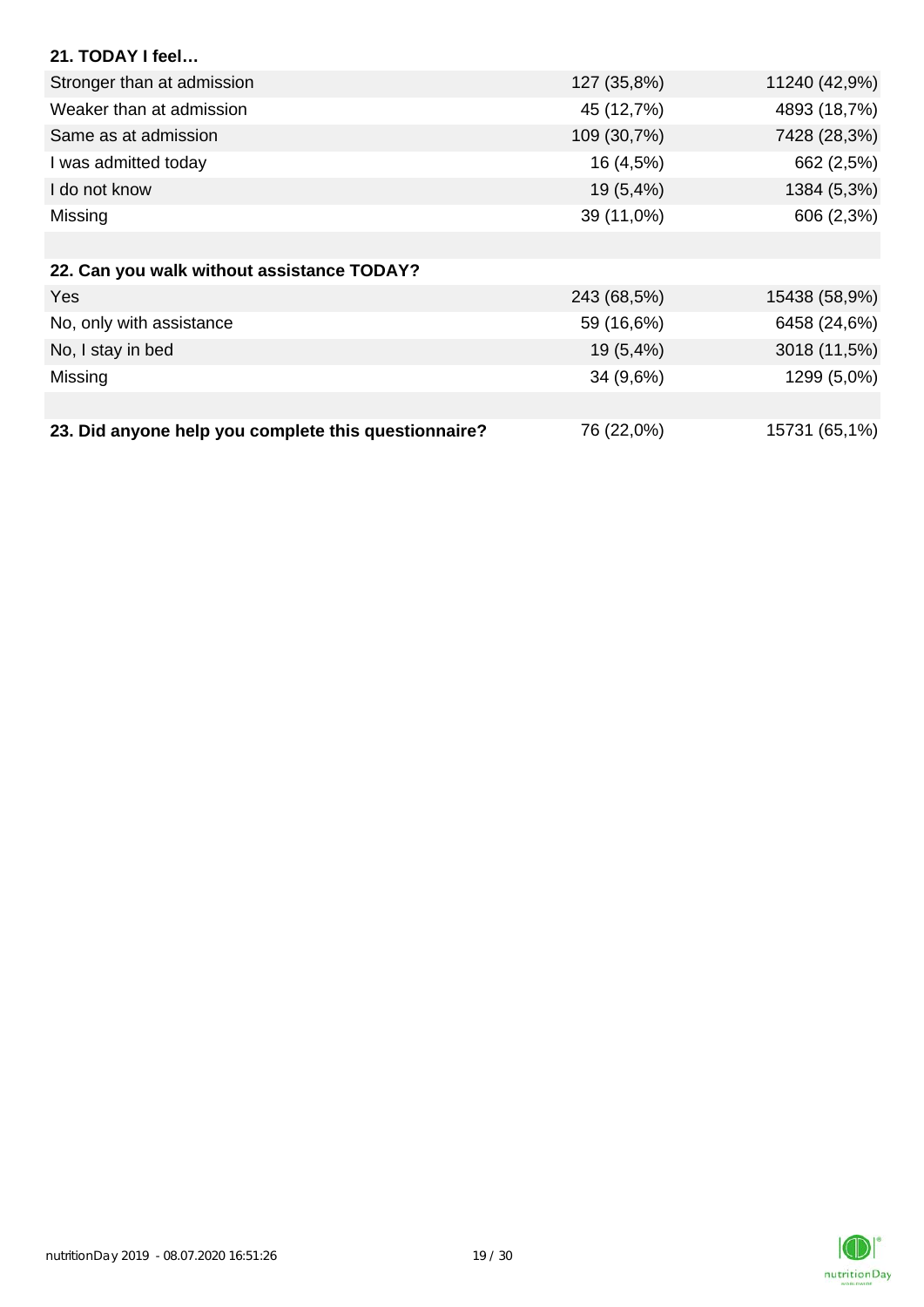| 21. TODAY I feel                                     |             |               |
|------------------------------------------------------|-------------|---------------|
| Stronger than at admission                           | 127 (35,8%) | 11240 (42,9%) |
| Weaker than at admission                             | 45 (12,7%)  | 4893 (18,7%)  |
| Same as at admission                                 | 109 (30,7%) | 7428 (28,3%)  |
| I was admitted today                                 | 16 (4,5%)   | 662 (2,5%)    |
| I do not know                                        | 19 (5,4%)   | 1384 (5,3%)   |
| Missing                                              | 39 (11,0%)  | 606 (2,3%)    |
|                                                      |             |               |
| 22. Can you walk without assistance TODAY?           |             |               |
| Yes                                                  | 243 (68,5%) | 15438 (58,9%) |
| No, only with assistance                             | 59 (16,6%)  | 6458 (24,6%)  |
| No, I stay in bed                                    | $19(5,4\%)$ | 3018 (11,5%)  |
| Missing                                              | 34 (9,6%)   | 1299 (5,0%)   |
|                                                      |             |               |
| 23. Did anyone help you complete this questionnaire? | 76 (22,0%)  | 15731 (65,1%) |

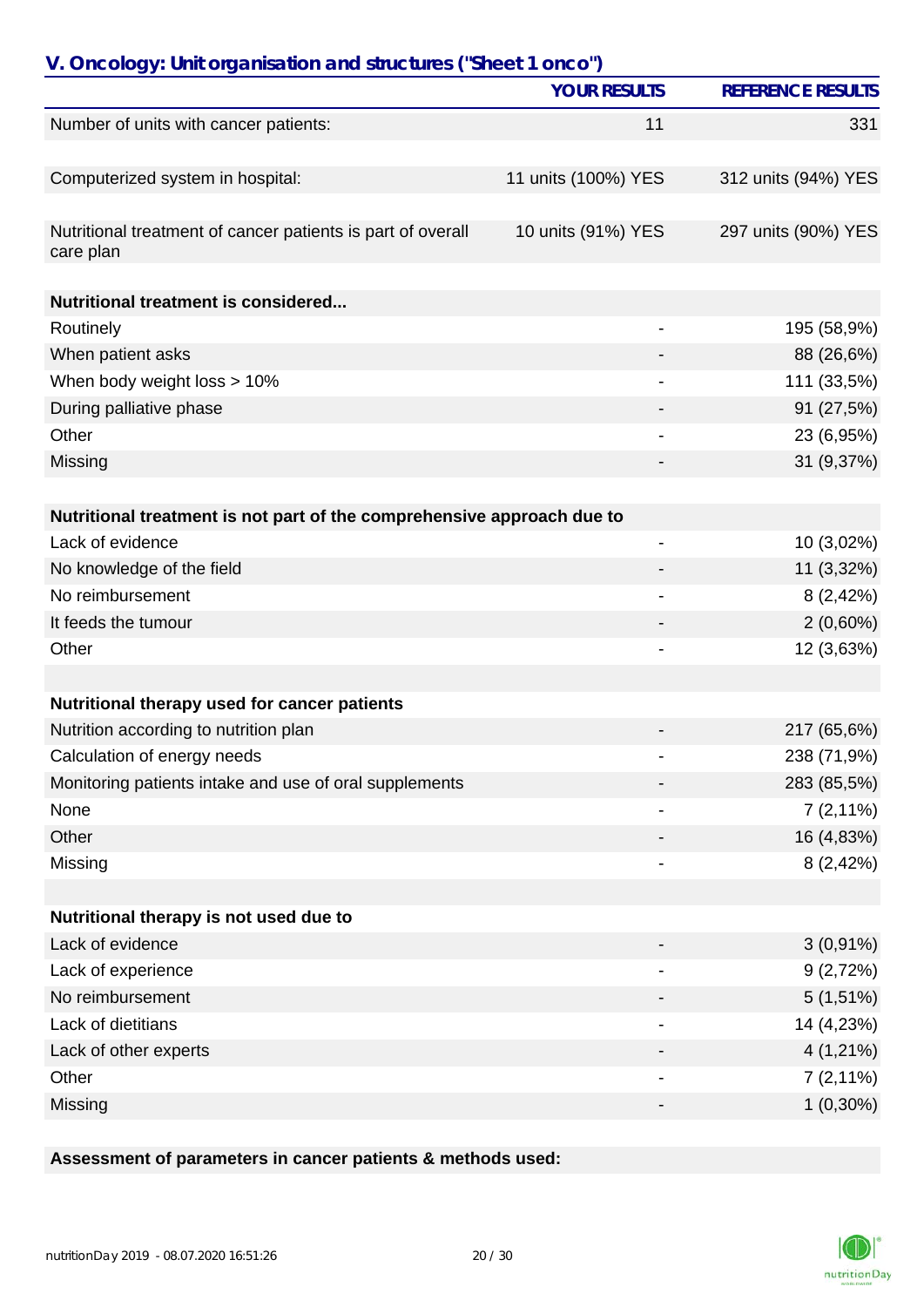| V. Oncology: Unit organisation and structures ("Sheet 1 onco")           |                          |                          |
|--------------------------------------------------------------------------|--------------------------|--------------------------|
|                                                                          | <b>YOUR RESULTS</b>      | <b>REFERENCE RESULTS</b> |
| Number of units with cancer patients:                                    | 11                       | 331                      |
|                                                                          |                          |                          |
| Computerized system in hospital:                                         | 11 units (100%) YES      | 312 units (94%) YES      |
| Nutritional treatment of cancer patients is part of overall<br>care plan | 10 units (91%) YES       | 297 units (90%) YES      |
| <b>Nutritional treatment is considered</b>                               |                          |                          |
| Routinely                                                                |                          | 195 (58,9%)              |
| When patient asks                                                        |                          | 88 (26,6%)               |
| When body weight loss > 10%                                              |                          | 111 (33,5%)              |
| During palliative phase                                                  |                          | 91 (27,5%)               |
| Other                                                                    |                          | 23 (6,95%)               |
| Missing                                                                  |                          | 31 (9,37%)               |
|                                                                          |                          |                          |
| Nutritional treatment is not part of the comprehensive approach due to   |                          |                          |
| Lack of evidence                                                         | $\overline{\phantom{0}}$ | 10 (3,02%)               |
| No knowledge of the field                                                |                          | 11 (3,32%)               |
| No reimbursement                                                         |                          | 8(2,42%)                 |
| It feeds the tumour                                                      |                          | $2(0,60\%)$              |
| Other                                                                    |                          | 12 (3,63%)               |
|                                                                          |                          |                          |
| Nutritional therapy used for cancer patients                             |                          |                          |
| Nutrition according to nutrition plan                                    |                          | 217 (65,6%)              |
| Calculation of energy needs                                              |                          | 238 (71,9%)              |
| Monitoring patients intake and use of oral supplements                   |                          | 283 (85,5%)              |
| None                                                                     |                          | $7(2,11\%)$              |
| Other                                                                    |                          | 16 (4,83%)               |
| Missing                                                                  |                          | 8(2,42%)                 |
| Nutritional therapy is not used due to                                   |                          |                          |
| Lack of evidence                                                         |                          | $3(0,91\%)$              |
| Lack of experience                                                       |                          | 9(2,72%)                 |
| No reimbursement                                                         |                          | $5(1,51\%)$              |
| Lack of dietitians                                                       |                          |                          |
|                                                                          |                          | 14 (4,23%)               |
| Lack of other experts                                                    |                          | $4(1,21\%)$              |
| Other                                                                    |                          | $7(2,11\%)$              |
| Missing                                                                  |                          | $1(0,30\%)$              |

# **Assessment of parameters in cancer patients & methods used:**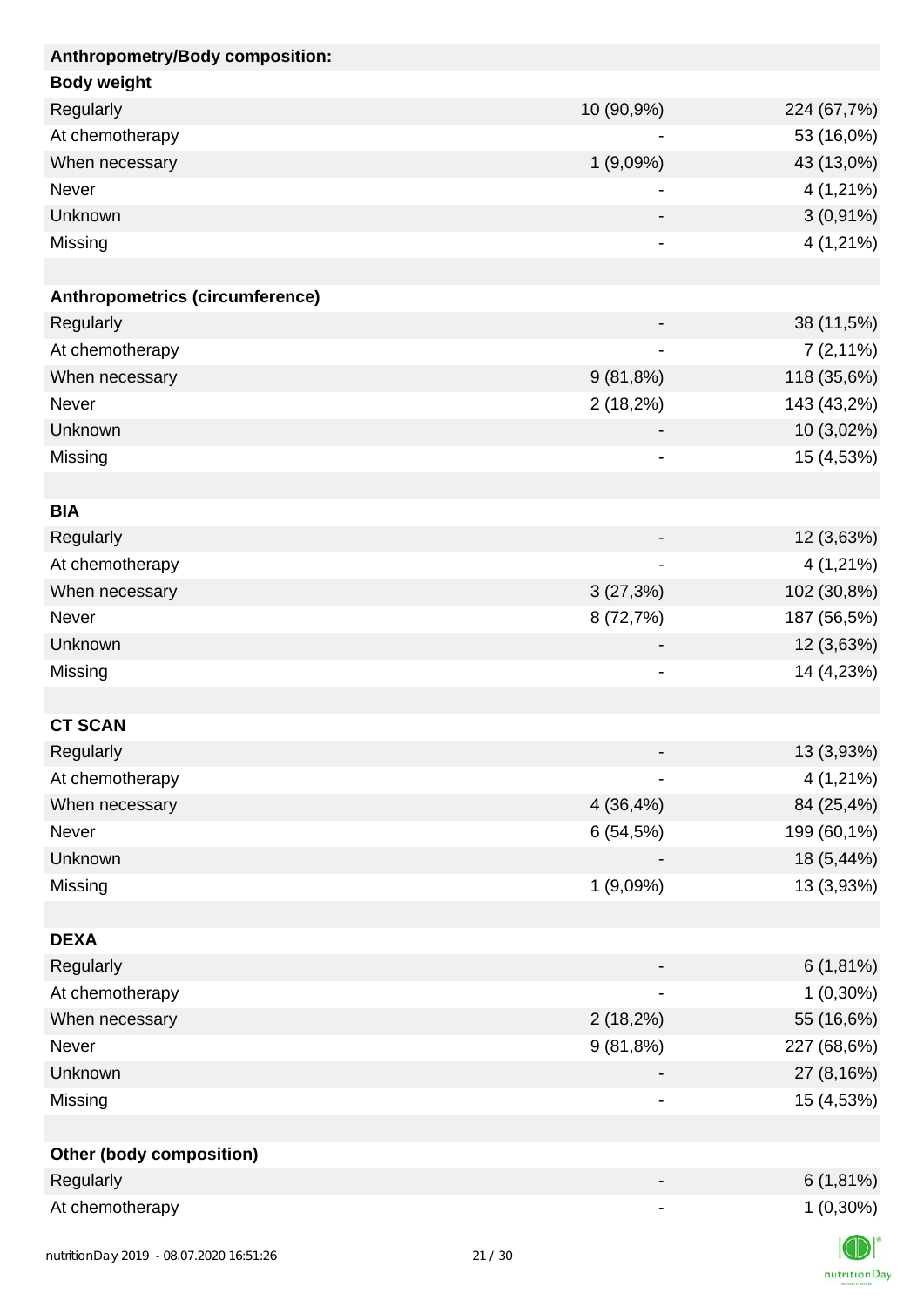| Anthropometry/Body composition: |             |             |
|---------------------------------|-------------|-------------|
| <b>Body weight</b>              |             |             |
| Regularly                       | 10 (90,9%)  | 224 (67,7%) |
| At chemotherapy                 |             | 53 (16,0%)  |
| When necessary                  | 1(9,09%)    | 43 (13,0%)  |
| Never                           |             | 4 (1,21%)   |
| Unknown                         |             | $3(0,91\%)$ |
| Missing                         |             | $4(1,21\%)$ |
|                                 |             |             |
| Anthropometrics (circumference) |             |             |
| Regularly                       |             | 38 (11,5%)  |
| At chemotherapy                 |             | $7(2,11\%)$ |
| When necessary                  | 9(81,8%)    | 118 (35,6%) |
| Never                           | $2(18,2\%)$ | 143 (43,2%) |
| Unknown                         |             | 10 (3,02%)  |
| Missing                         |             | 15 (4,53%)  |
|                                 |             |             |
| <b>BIA</b>                      |             |             |
| Regularly                       |             | 12 (3,63%)  |
| At chemotherapy                 |             | 4 (1,21%)   |
| When necessary                  | 3(27,3%)    | 102 (30,8%) |
| Never                           | 8 (72,7%)   | 187 (56,5%) |
| Unknown                         |             | 12 (3,63%)  |
| Missing                         | -           | 14 (4,23%)  |
|                                 |             |             |
| <b>CT SCAN</b>                  |             |             |
| Regularly                       |             | 13 (3,93%)  |
| At chemotherapy                 |             | 4 (1,21%)   |
| When necessary                  | 4 (36,4%)   | 84 (25,4%)  |
| Never                           | 6(54,5%)    | 199 (60,1%) |
| Unknown                         |             | 18 (5,44%)  |
| Missing                         | 1(9,09%)    | 13 (3,93%)  |
|                                 |             |             |
| <b>DEXA</b>                     |             |             |
| Regularly                       |             | $6(1,81\%)$ |
| At chemotherapy                 |             | $1(0,30\%)$ |
| When necessary                  | $2(18,2\%)$ | 55 (16,6%)  |
| Never                           | 9(81,8%)    | 227 (68,6%) |
| Unknown                         |             | 27 (8,16%)  |
| Missing                         |             | 15 (4,53%)  |
|                                 |             |             |
| <b>Other (body composition)</b> |             |             |
| Regularly                       |             | $6(1,81\%)$ |
| At chemotherapy                 |             | $1(0,30\%)$ |
|                                 |             | $\sqrt{N}$  |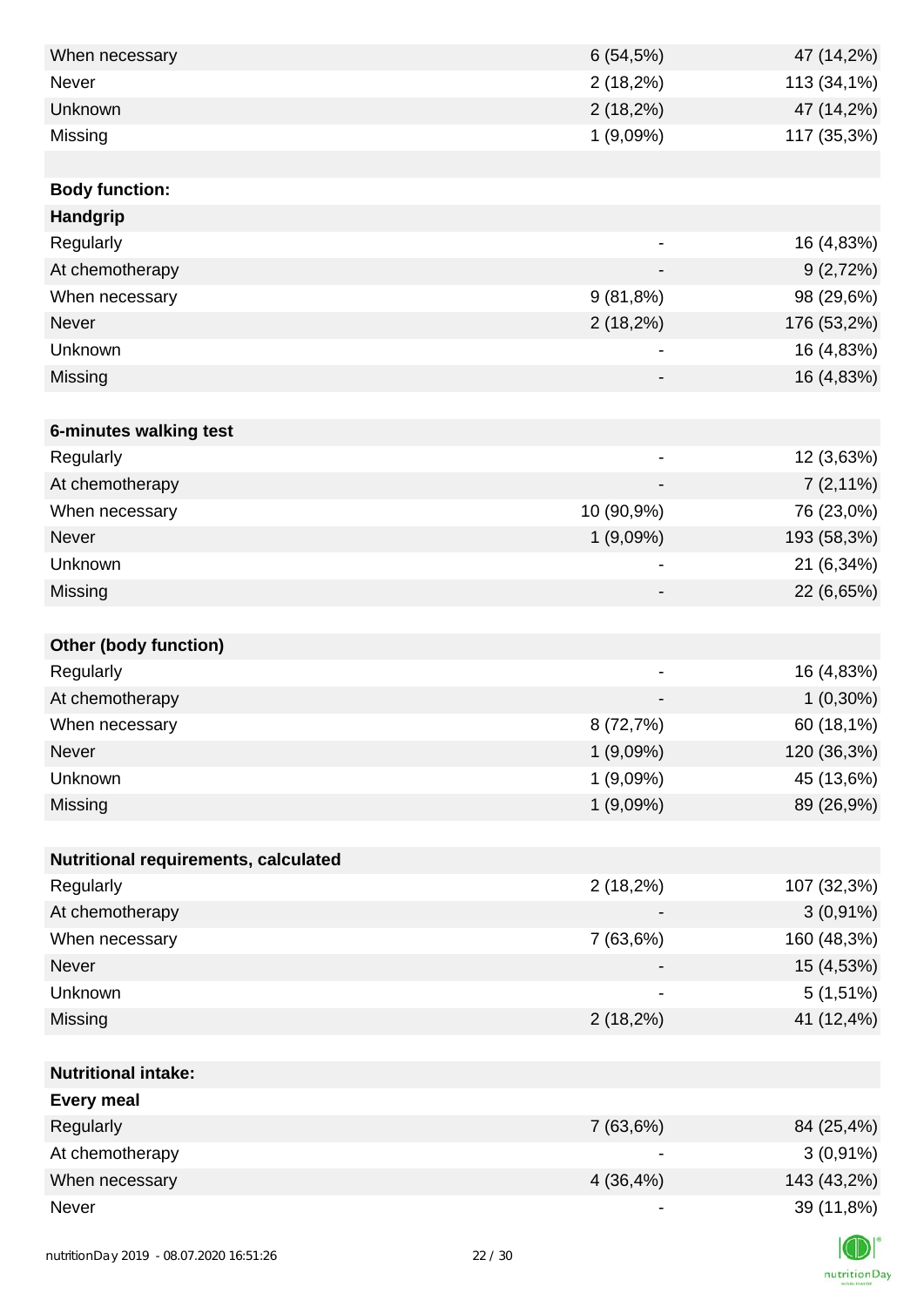| When necessary                         | 6(54,5%)                     | 47 (14,2%)  |
|----------------------------------------|------------------------------|-------------|
| Never                                  | $2(18,2\%)$                  | 113 (34,1%) |
| Unknown                                | $2(18,2\%)$                  | 47 (14,2%)  |
| Missing                                | 1(9,09%)                     | 117 (35,3%) |
|                                        |                              |             |
| <b>Body function:</b>                  |                              |             |
| Handgrip                               |                              |             |
| Regularly                              | $\qquad \qquad \blacksquare$ | 16 (4,83%)  |
| At chemotherapy                        | $\qquad \qquad \blacksquare$ | 9(2,72%)    |
| When necessary                         | 9(81,8%)                     | 98 (29,6%)  |
| Never                                  | $2(18,2\%)$                  | 176 (53,2%) |
| Unknown                                |                              | 16 (4,83%)  |
| Missing                                |                              | 16 (4,83%)  |
|                                        |                              |             |
| 6-minutes walking test                 |                              |             |
| Regularly                              | $\qquad \qquad \blacksquare$ | 12 (3,63%)  |
| At chemotherapy                        |                              | $7(2,11\%)$ |
| When necessary                         | 10 (90,9%)                   | 76 (23,0%)  |
| <b>Never</b>                           | 1(9,09%)                     | 193 (58,3%) |
| Unknown                                | -                            | 21 (6,34%)  |
| Missing                                |                              | 22 (6,65%)  |
|                                        |                              |             |
| <b>Other (body function)</b>           |                              |             |
| Regularly                              | $\overline{\phantom{0}}$     | 16 (4,83%)  |
| At chemotherapy                        |                              | $1(0,30\%)$ |
| When necessary                         | 8 (72,7%)                    | 60 (18,1%)  |
| Never                                  | 1(9,09%)                     | 120 (36,3%) |
| Unknown                                | 1(9,09%)                     | 45 (13,6%)  |
| Missing                                | 1(9,09%)                     | 89 (26,9%)  |
|                                        |                              |             |
| Nutritional requirements, calculated   |                              |             |
| Regularly                              | 2(18,2%)                     | 107 (32,3%) |
| At chemotherapy                        |                              | $3(0,91\%)$ |
| When necessary                         | 7 (63,6%)                    | 160 (48,3%) |
| Never                                  |                              | 15 (4,53%)  |
| Unknown                                |                              | $5(1,51\%)$ |
| Missing                                | $2(18,2\%)$                  | 41 (12,4%)  |
|                                        |                              |             |
| <b>Nutritional intake:</b>             |                              |             |
| <b>Every meal</b>                      |                              |             |
| Regularly                              | 7 (63,6%)                    | 84 (25,4%)  |
| At chemotherapy                        |                              | $3(0,91\%)$ |
| When necessary                         | 4 (36,4%)                    | 143 (43,2%) |
| Never                                  |                              | 39 (11,8%)  |
|                                        |                              |             |
| putrition Day 2010 08.07.2020 14:51:24 | 22/20                        |             |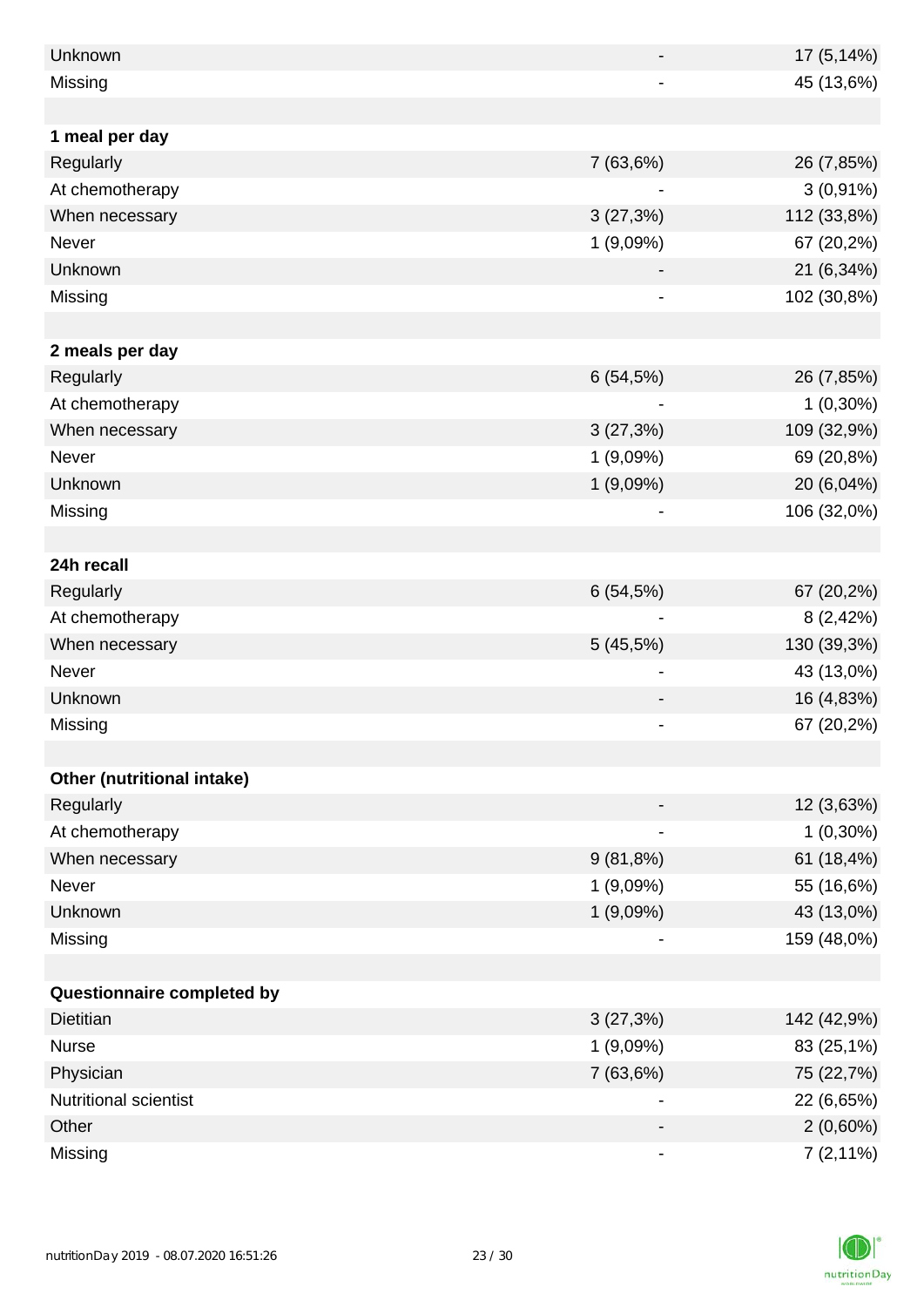| Unknown                    |             | 17 (5,14%)  |
|----------------------------|-------------|-------------|
| Missing                    |             | 45 (13,6%)  |
|                            |             |             |
| 1 meal per day             |             |             |
| Regularly                  | 7(63,6%)    | 26 (7,85%)  |
| At chemotherapy            | -           | $3(0,91\%)$ |
| When necessary             | 3(27,3%)    | 112 (33,8%) |
| Never                      | 1(9,09%)    | 67 (20,2%)  |
| Unknown                    |             | 21 (6,34%)  |
| Missing                    |             | 102 (30,8%) |
|                            |             |             |
| 2 meals per day            |             |             |
| Regularly                  | 6(54,5%)    | 26 (7,85%)  |
| At chemotherapy            |             | $1(0,30\%)$ |
| When necessary             | 3(27,3%)    | 109 (32,9%) |
| Never                      | 1(9,09%)    | 69 (20,8%)  |
| Unknown                    | 1 (9,09%)   | 20 (6,04%)  |
| Missing                    |             | 106 (32,0%) |
|                            |             |             |
| 24h recall                 |             |             |
| Regularly                  | 6(54,5%)    | 67 (20,2%)  |
| At chemotherapy            |             | 8 (2,42%)   |
| When necessary             | 5(45,5%)    | 130 (39,3%) |
| Never                      |             | 43 (13,0%)  |
| Unknown                    |             | 16 (4,83%)  |
| Missing                    |             | 67 (20,2%)  |
|                            |             |             |
| Other (nutritional intake) |             |             |
| Regularly                  |             | 12 (3,63%)  |
| At chemotherapy            | ۰           | $1(0,30\%)$ |
| When necessary             | $9(81,8\%)$ | 61 (18,4%)  |
| Never                      | 1(9,09%)    | 55 (16,6%)  |
| Unknown                    | 1(9,09%)    | 43 (13,0%)  |
| Missing                    |             | 159 (48,0%) |
|                            |             |             |
| Questionnaire completed by |             |             |
| <b>Dietitian</b>           | 3(27,3%)    | 142 (42,9%) |
| <b>Nurse</b>               | 1(9,09%)    | 83 (25,1%)  |
| Physician                  | 7(63,6%)    | 75 (22,7%)  |
| Nutritional scientist      |             | 22 (6,65%)  |
| Other                      |             | $2(0,60\%)$ |
| Missing                    | -           | $7(2,11\%)$ |

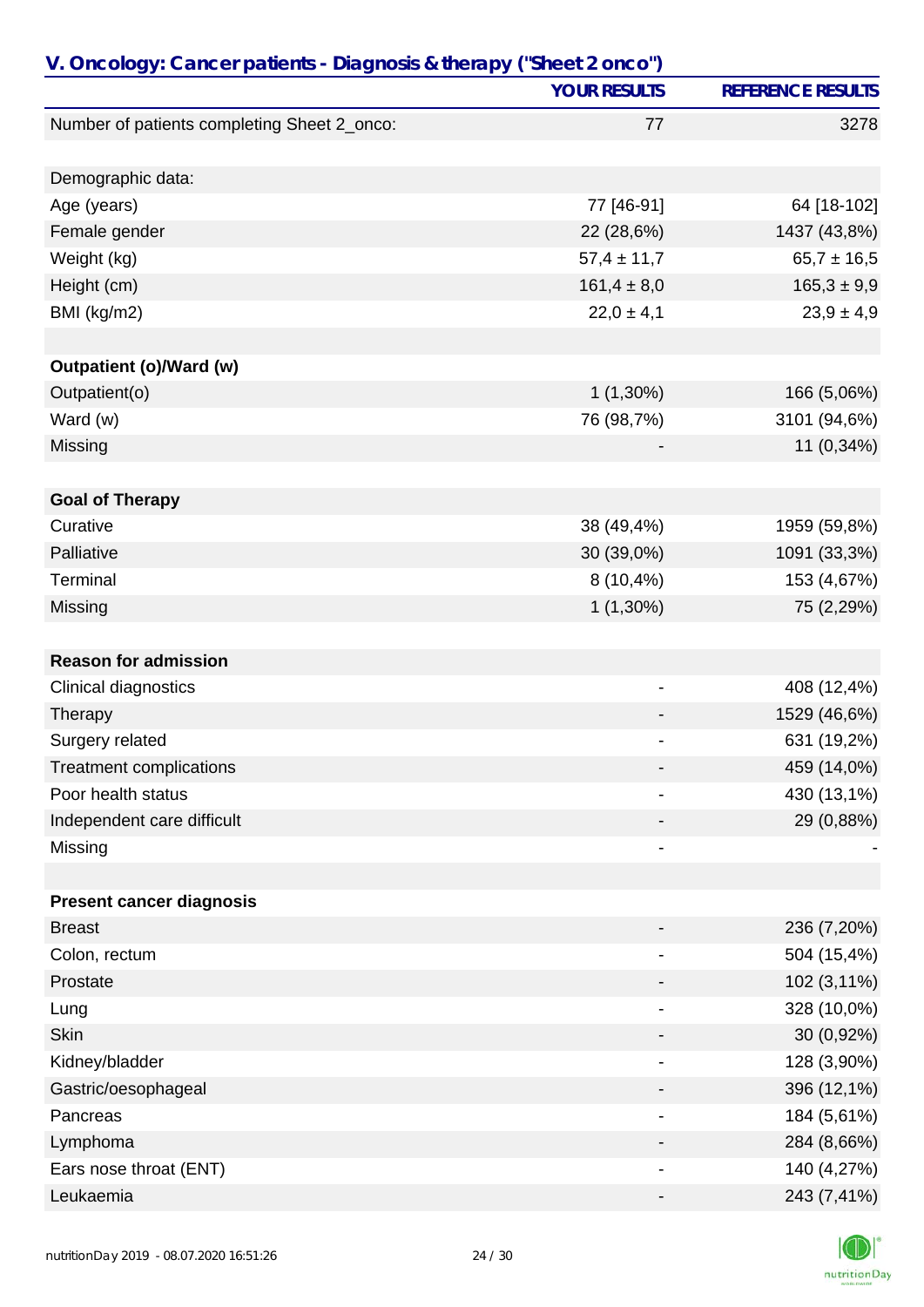| V. Oncology: Cancer patients - Diagnosis & therapy ("Sheet 2 onco") |                     |                          |
|---------------------------------------------------------------------|---------------------|--------------------------|
|                                                                     | <b>YOUR RESULTS</b> | <b>REFERENCE RESULTS</b> |
| Number of patients completing Sheet 2_onco:                         | 77                  | 3278                     |
|                                                                     |                     |                          |
| Demographic data:                                                   |                     |                          |
| Age (years)                                                         | 77 [46-91]          | 64 [18-102]              |
| Female gender                                                       | 22 (28,6%)          | 1437 (43,8%)             |
| Weight (kg)                                                         | $57,4 \pm 11,7$     | $65,7 \pm 16,5$          |
| Height (cm)                                                         | $161,4 \pm 8,0$     | $165,3 \pm 9,9$          |
| BMI (kg/m2)                                                         | $22,0 \pm 4,1$      | $23,9 \pm 4,9$           |
|                                                                     |                     |                          |
| Outpatient (o)/Ward (w)                                             |                     |                          |
| Outpatient(o)                                                       | $1(1,30\%)$         | 166 (5,06%)              |
| Ward (w)                                                            | 76 (98,7%)          | 3101 (94,6%)             |
| Missing                                                             |                     | 11 (0,34%)               |
|                                                                     |                     |                          |
| <b>Goal of Therapy</b>                                              |                     |                          |
| Curative                                                            | 38 (49,4%)          | 1959 (59,8%)             |
| Palliative                                                          | 30 (39,0%)          | 1091 (33,3%)             |
| Terminal                                                            | $8(10,4\%)$         | 153 (4,67%)              |
| Missing                                                             | $1(1,30\%)$         | 75 (2,29%)               |
|                                                                     |                     |                          |
| <b>Reason for admission</b>                                         |                     |                          |
| Clinical diagnostics                                                | -                   | 408 (12,4%)              |
| Therapy                                                             |                     | 1529 (46,6%)             |
| Surgery related                                                     |                     | 631 (19,2%)              |
| <b>Treatment complications</b>                                      |                     | 459 (14,0%)              |
| Poor health status                                                  |                     | 430 (13,1%)              |
| Independent care difficult                                          |                     | 29 (0,88%)               |
| Missing                                                             | -                   |                          |
|                                                                     |                     |                          |
| <b>Present cancer diagnosis</b>                                     |                     |                          |
| <b>Breast</b>                                                       |                     | 236 (7,20%)              |
| Colon, rectum                                                       |                     | 504 (15,4%)              |
| Prostate                                                            |                     | 102 (3,11%)              |
| Lung                                                                |                     | 328 (10,0%)              |
| <b>Skin</b>                                                         |                     | 30 (0,92%)               |
| Kidney/bladder                                                      | -                   | 128 (3,90%)              |
| Gastric/oesophageal                                                 |                     | 396 (12,1%)              |
| Pancreas                                                            |                     | 184 (5,61%)              |
| Lymphoma                                                            |                     | 284 (8,66%)              |
| Ears nose throat (ENT)                                              |                     | 140 (4,27%)              |
| Leukaemia                                                           |                     | 243 (7,41%)              |

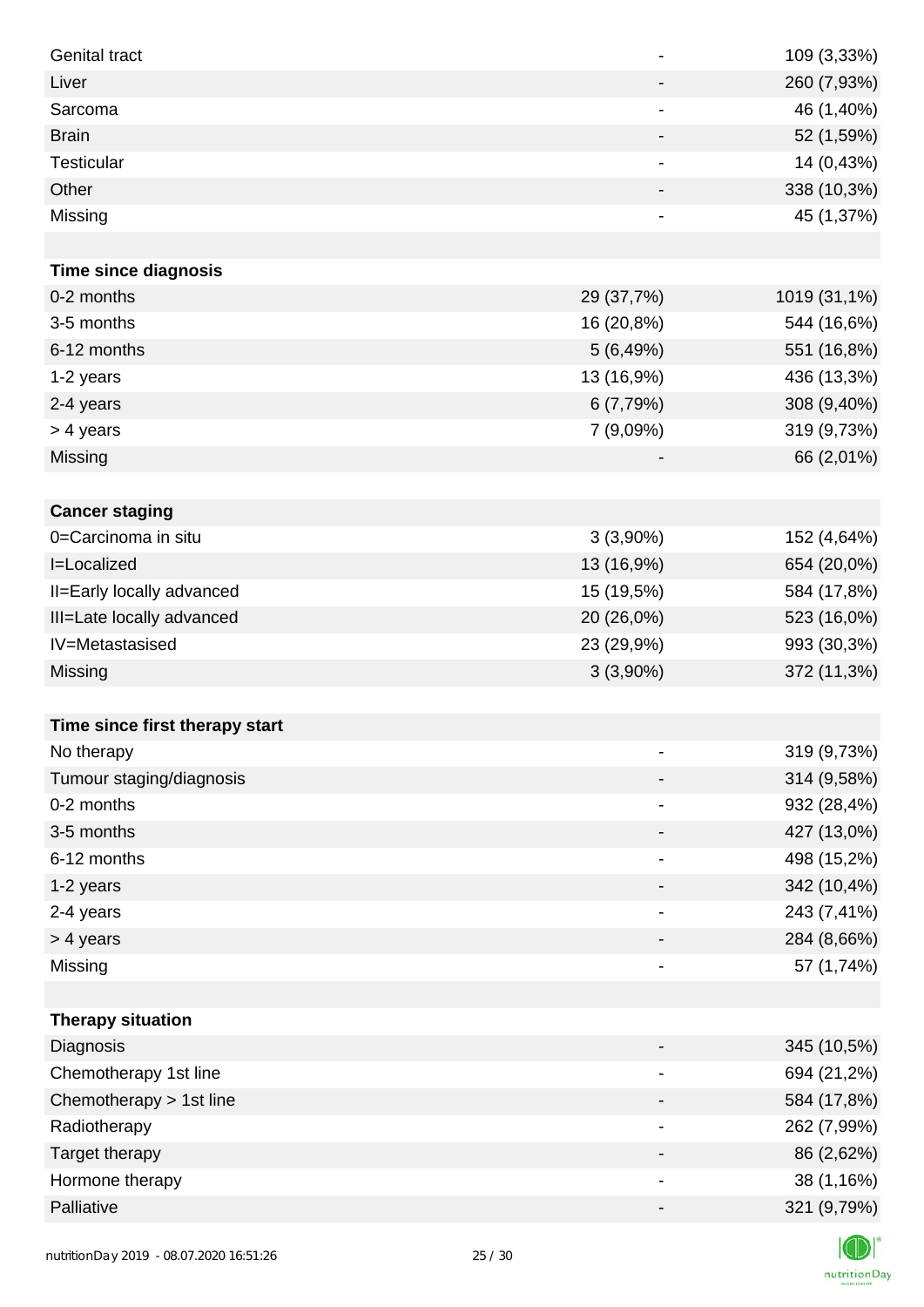| <b>Genital tract</b>           | $\overline{\phantom{a}}$     | 109 (3,33%)  |
|--------------------------------|------------------------------|--------------|
| Liver                          | $\overline{\phantom{a}}$     | 260 (7,93%)  |
| Sarcoma                        | $\qquad \qquad \blacksquare$ | 46 (1,40%)   |
| <b>Brain</b>                   | $\overline{\phantom{a}}$     | 52 (1,59%)   |
| <b>Testicular</b>              | $\overline{\phantom{a}}$     | 14 (0,43%)   |
| Other                          | $\overline{\phantom{a}}$     | 338 (10,3%)  |
| Missing                        | $\qquad \qquad \blacksquare$ | 45 (1,37%)   |
|                                |                              |              |
| <b>Time since diagnosis</b>    |                              |              |
| 0-2 months                     | 29 (37,7%)                   | 1019 (31,1%) |
| 3-5 months                     | 16 (20,8%)                   | 544 (16,6%)  |
| 6-12 months                    | 5(6,49%)                     | 551 (16,8%)  |
| 1-2 years                      | 13 (16,9%)                   | 436 (13,3%)  |
| 2-4 years                      | 6(7,79%)                     | 308 (9,40%)  |
| > 4 years                      | 7 (9,09%)                    | 319 (9,73%)  |
| Missing                        |                              | 66 (2,01%)   |
|                                |                              |              |
| <b>Cancer staging</b>          |                              |              |
| 0=Carcinoma in situ            | $3(3,90\%)$                  | 152 (4,64%)  |
| I=Localized                    | 13 (16,9%)                   | 654 (20,0%)  |
| II=Early locally advanced      | 15 (19,5%)                   | 584 (17,8%)  |
| III=Late locally advanced      | 20 (26,0%)                   | 523 (16,0%)  |
| IV=Metastasised                | 23 (29,9%)                   | 993 (30,3%)  |
| Missing                        | $3(3,90\%)$                  | 372 (11,3%)  |
|                                |                              |              |
| Time since first therapy start |                              |              |
| No therapy                     |                              | 319 (9,73%)  |
| Tumour staging/diagnosis       | $\overline{\phantom{a}}$     | 314 (9,58%)  |
| 0-2 months                     |                              | 932 (28,4%)  |
| 3-5 months                     | $\overline{\phantom{a}}$     | 427 (13,0%)  |
| 6-12 months                    | -                            | 498 (15,2%)  |
| 1-2 years                      | $\overline{\phantom{a}}$     | 342 (10,4%)  |
| 2-4 years                      | $\overline{\phantom{a}}$     | 243 (7,41%)  |
| > 4 years                      | -                            | 284 (8,66%)  |
| Missing                        | $\overline{\phantom{a}}$     | 57 (1,74%)   |
|                                |                              |              |
| <b>Therapy situation</b>       |                              |              |
| Diagnosis                      | -                            | 345 (10,5%)  |
| Chemotherapy 1st line          |                              | 694 (21,2%)  |
| Chemotherapy > 1st line        | $\overline{\phantom{a}}$     | 584 (17,8%)  |
| Radiotherapy                   | $\overline{\phantom{a}}$     | 262 (7,99%)  |
| Target therapy                 | -                            | 86 (2,62%)   |
| Hormone therapy                | $\overline{\phantom{a}}$     | 38 (1,16%)   |
| Palliative                     |                              | 321 (9,79%)  |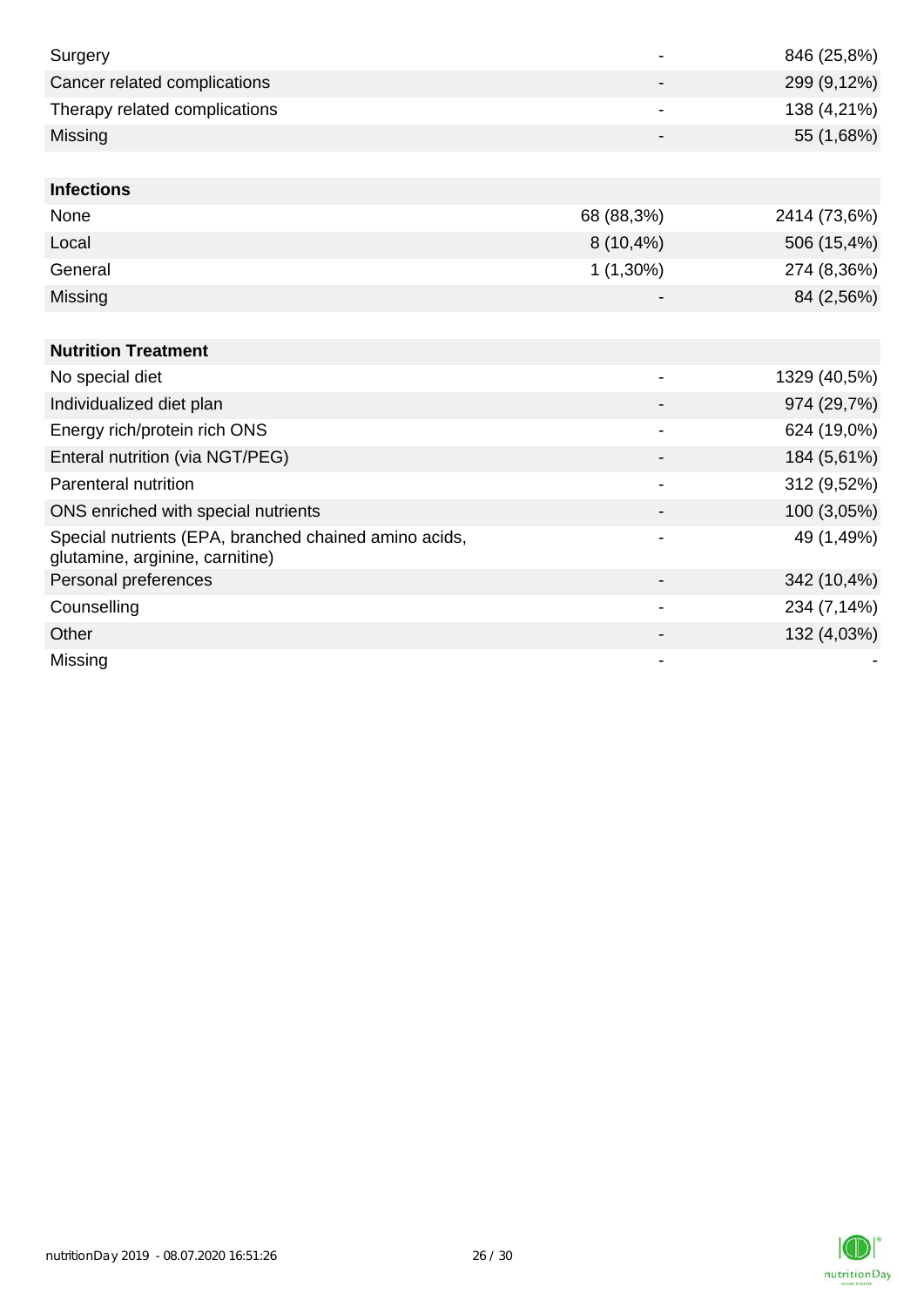| Surgery                                                                                  |                          | 846 (25,8%)  |
|------------------------------------------------------------------------------------------|--------------------------|--------------|
| Cancer related complications                                                             |                          | 299 (9,12%)  |
| Therapy related complications                                                            |                          | 138 (4,21%)  |
| Missing                                                                                  | -                        | 55 (1,68%)   |
|                                                                                          |                          |              |
| <b>Infections</b>                                                                        |                          |              |
| None                                                                                     | 68 (88,3%)               | 2414 (73,6%) |
| Local                                                                                    | $8(10,4\%)$              | 506 (15,4%)  |
| General                                                                                  | $1(1,30\%)$              | 274 (8,36%)  |
| Missing                                                                                  |                          | 84 (2,56%)   |
|                                                                                          |                          |              |
| <b>Nutrition Treatment</b>                                                               |                          |              |
| No special diet                                                                          | -                        | 1329 (40,5%) |
| Individualized diet plan                                                                 |                          | 974 (29,7%)  |
| Energy rich/protein rich ONS                                                             | $\overline{\phantom{0}}$ | 624 (19,0%)  |
| Enteral nutrition (via NGT/PEG)                                                          |                          | 184 (5,61%)  |
| Parenteral nutrition                                                                     |                          | 312 (9,52%)  |
| ONS enriched with special nutrients                                                      |                          | 100 (3,05%)  |
| Special nutrients (EPA, branched chained amino acids,<br>glutamine, arginine, carnitine) |                          | 49 (1,49%)   |
| Personal preferences                                                                     |                          | 342 (10,4%)  |
| Counselling                                                                              | -                        | 234 (7,14%)  |
| Other                                                                                    |                          | 132 (4,03%)  |
| Missing                                                                                  |                          |              |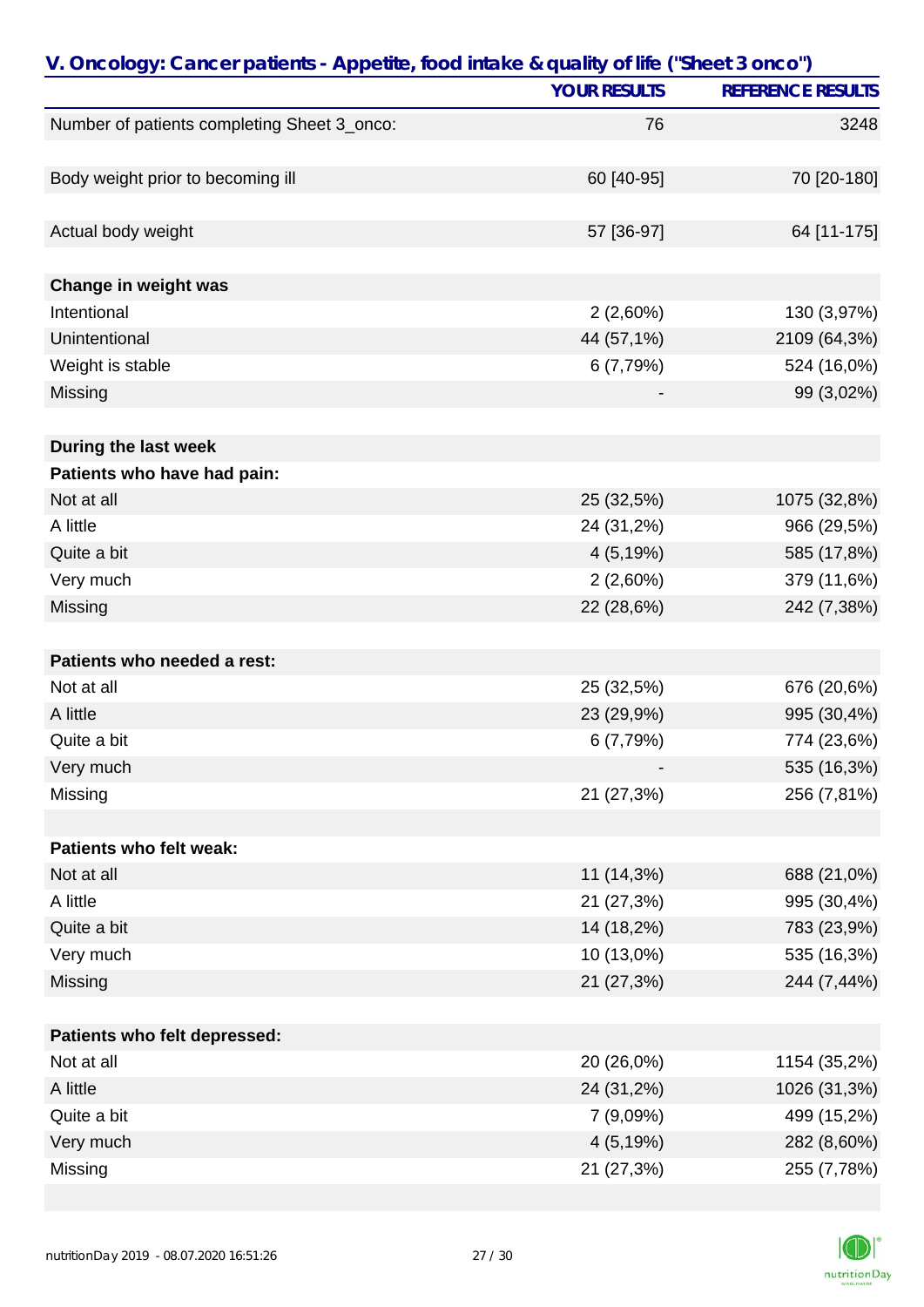| V. Oncology: Cancer patients - Appetite, food intake & quality of life ("Sheet 3 onco") |                     |                          |
|-----------------------------------------------------------------------------------------|---------------------|--------------------------|
|                                                                                         | <b>YOUR RESULTS</b> | <b>REFERENCE RESULTS</b> |
| Number of patients completing Sheet 3_onco:                                             | 76                  | 3248                     |
|                                                                                         |                     |                          |
| Body weight prior to becoming ill                                                       | 60 [40-95]          | 70 [20-180]              |
|                                                                                         |                     |                          |
| Actual body weight                                                                      | 57 [36-97]          | 64 [11-175]              |
|                                                                                         |                     |                          |
| Change in weight was                                                                    |                     |                          |
| Intentional                                                                             | $2(2,60\%)$         | 130 (3,97%)              |
| Unintentional                                                                           | 44 (57,1%)          | 2109 (64,3%)             |
| Weight is stable                                                                        | 6 (7,79%)           | 524 (16,0%)              |
| Missing                                                                                 |                     | 99 (3,02%)               |
|                                                                                         |                     |                          |
| During the last week                                                                    |                     |                          |
| Patients who have had pain:                                                             |                     |                          |
| Not at all                                                                              | 25 (32,5%)          | 1075 (32,8%)             |
| A little                                                                                | 24 (31,2%)          | 966 (29,5%)              |
| Quite a bit                                                                             | 4(5,19%)            | 585 (17,8%)              |
| Very much                                                                               | $2(2,60\%)$         | 379 (11,6%)              |
| Missing                                                                                 | 22 (28,6%)          | 242 (7,38%)              |
|                                                                                         |                     |                          |
| Patients who needed a rest:                                                             |                     |                          |
| Not at all                                                                              | 25 (32,5%)          | 676 (20,6%)              |
| A little                                                                                | 23 (29,9%)          | 995 (30,4%)              |
| Quite a bit                                                                             | 6 (7,79%)           | 774 (23,6%)              |
| Very much                                                                               |                     | 535 (16,3%)              |
| Missing                                                                                 | 21 (27,3%)          | 256 (7,81%)              |
|                                                                                         |                     |                          |
| Patients who felt weak:                                                                 |                     |                          |
| Not at all                                                                              | 11 (14,3%)          | 688 (21,0%)              |
| A little                                                                                | 21 (27,3%)          | 995 (30,4%)              |
| Quite a bit                                                                             | 14 (18,2%)          | 783 (23,9%)              |
| Very much                                                                               | 10 (13,0%)          | 535 (16,3%)              |
| Missing                                                                                 | 21 (27,3%)          | 244 (7,44%)              |
|                                                                                         |                     |                          |
| Patients who felt depressed:                                                            |                     |                          |
| Not at all                                                                              | 20 (26,0%)          | 1154 (35,2%)             |
| A little                                                                                | 24 (31,2%)          | 1026 (31,3%)             |
| Quite a bit                                                                             | 7 (9,09%)           | 499 (15,2%)              |
| Very much                                                                               | 4(5,19%)            | 282 (8,60%)              |
| Missing                                                                                 | 21 (27,3%)          | 255 (7,78%)              |

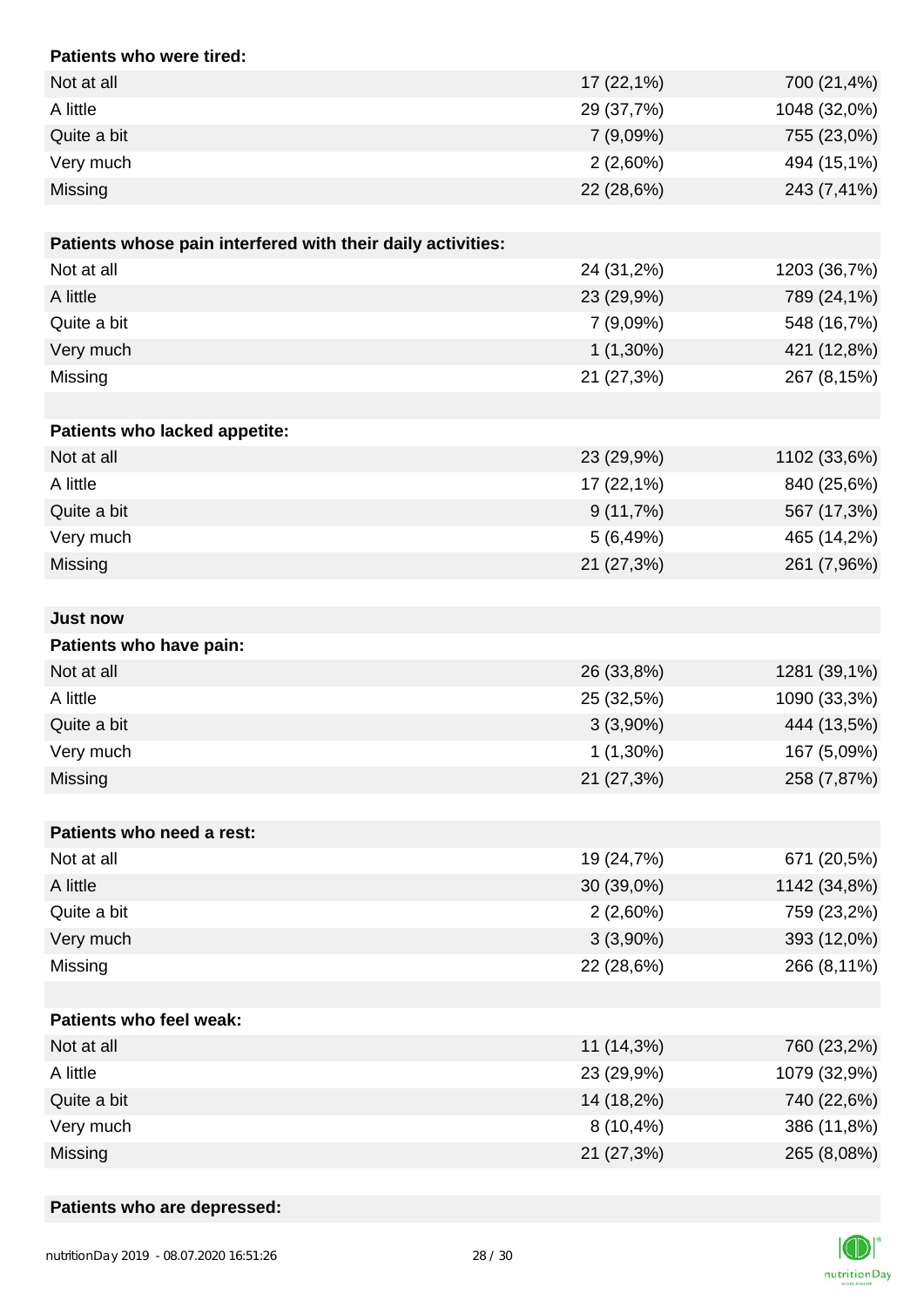| Patients who were tired:                                    |              |              |
|-------------------------------------------------------------|--------------|--------------|
| Not at all                                                  | 17 (22,1%)   | 700 (21,4%)  |
| A little                                                    | 29 (37,7%)   | 1048 (32,0%) |
| Quite a bit                                                 | 7(9,09%)     | 755 (23,0%)  |
| Very much                                                   | $2(2,60\%)$  | 494 (15,1%)  |
| Missing                                                     | 22 (28,6%)   | 243 (7,41%)  |
|                                                             |              |              |
| Patients whose pain interfered with their daily activities: |              |              |
| Not at all                                                  | 24 (31,2%)   | 1203 (36,7%) |
| A little                                                    | 23 (29,9%)   | 789 (24,1%)  |
| Quite a bit                                                 | 7(9,09%)     | 548 (16,7%)  |
| Very much                                                   | $1(1,30\%)$  | 421 (12,8%)  |
| Missing                                                     | 21 (27,3%)   | 267 (8,15%)  |
|                                                             |              |              |
| Patients who lacked appetite:                               |              |              |
| Not at all                                                  | 23 (29,9%)   | 1102 (33,6%) |
| A little                                                    | 17 (22,1%)   | 840 (25,6%)  |
| Quite a bit                                                 | 9(11,7%)     | 567 (17,3%)  |
| Very much                                                   | 5(6,49%)     | 465 (14,2%)  |
| Missing                                                     | 21 (27,3%)   | 261 (7,96%)  |
|                                                             |              |              |
| <b>Just now</b>                                             |              |              |
| Patients who have pain:                                     |              |              |
| Not at all                                                  | 26 (33,8%)   | 1281 (39,1%) |
| A little                                                    | 25 (32,5%)   | 1090 (33,3%) |
| Quite a bit                                                 | $3(3,90\%)$  | 444 (13,5%)  |
| Very much                                                   | $1(1,30\%)$  | 167 (5,09%)  |
| Missing                                                     | 21 (27,3%)   | 258 (7,87%)  |
|                                                             |              |              |
| Patients who need a rest:                                   |              |              |
| Not at all                                                  | 19 (24,7%)   | 671 (20,5%)  |
| A little                                                    | 30 (39,0%)   | 1142 (34,8%) |
| Quite a bit                                                 | $2(2,60\%)$  | 759 (23,2%)  |
| Very much                                                   | $3(3,90\%)$  | 393 (12,0%)  |
| Missing                                                     | 22 (28,6%)   | 266 (8,11%)  |
|                                                             |              |              |
| <b>Patients who feel weak:</b>                              |              |              |
| Not at all                                                  | 11 (14,3%)   | 760 (23,2%)  |
| A little                                                    | 23 (29,9%)   | 1079 (32,9%) |
| Quite a bit                                                 | 14 (18,2%)   | 740 (22,6%)  |
| Very much                                                   | $8(10, 4\%)$ | 386 (11,8%)  |
| Missing                                                     | 21 (27,3%)   | 265 (8,08%)  |

### **Patients who are depressed:**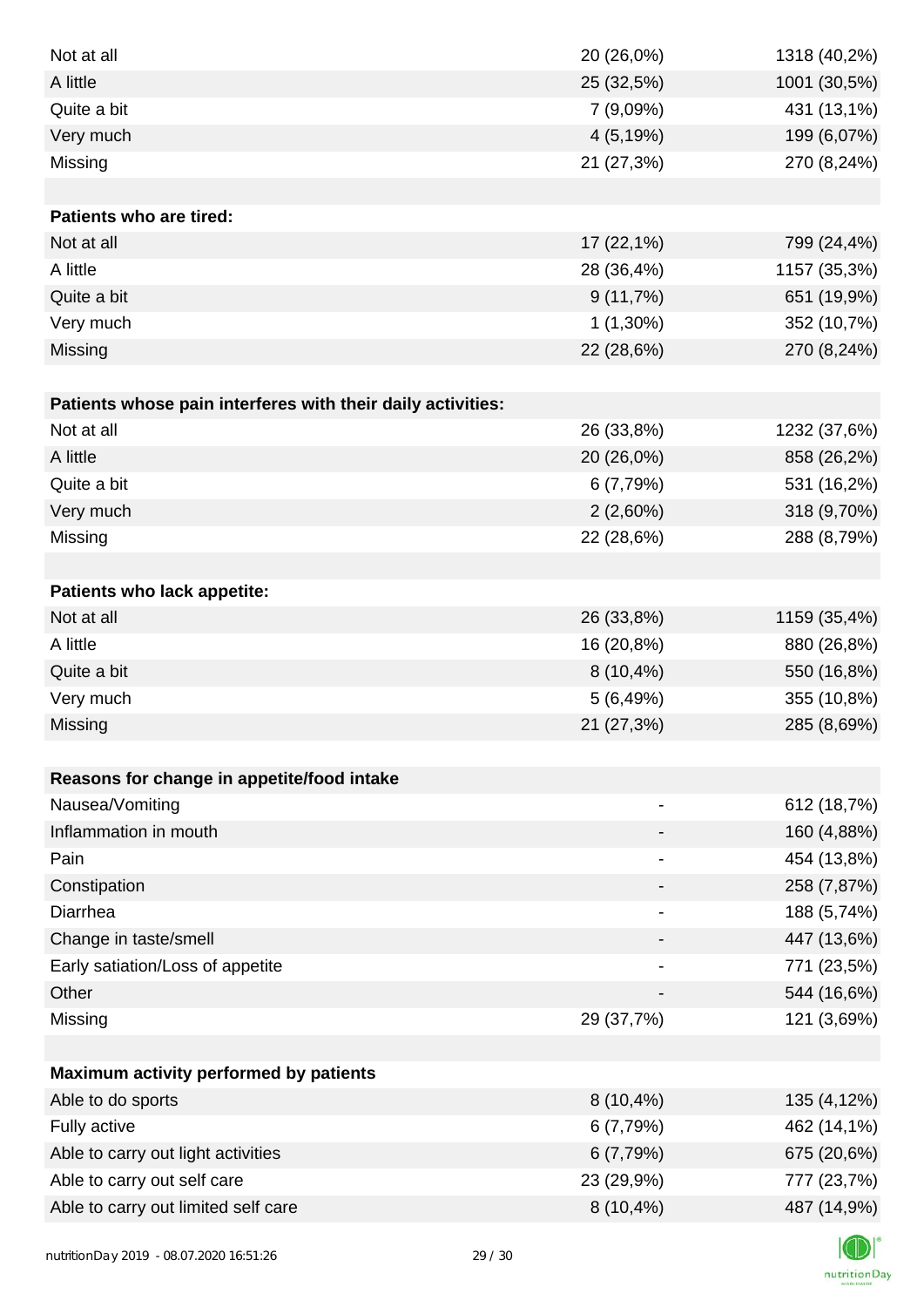| Not at all                                                  | 20 (26,0%)                   | 1318 (40,2%) |
|-------------------------------------------------------------|------------------------------|--------------|
| A little                                                    | 25 (32,5%)                   | 1001 (30,5%) |
| Quite a bit                                                 | 7 (9,09%)                    | 431 (13,1%)  |
| Very much                                                   | 4(5,19%)                     | 199 (6,07%)  |
| Missing                                                     | 21 (27,3%)                   | 270 (8,24%)  |
|                                                             |                              |              |
| Patients who are tired:                                     |                              |              |
| Not at all                                                  | 17 (22,1%)                   | 799 (24,4%)  |
| A little                                                    | 28 (36,4%)                   | 1157 (35,3%) |
| Quite a bit                                                 | 9(11,7%)                     | 651 (19,9%)  |
| Very much                                                   | $1(1,30\%)$                  | 352 (10,7%)  |
| Missing                                                     | 22 (28,6%)                   | 270 (8,24%)  |
|                                                             |                              |              |
| Patients whose pain interferes with their daily activities: |                              |              |
| Not at all                                                  | 26 (33,8%)                   | 1232 (37,6%) |
| A little                                                    | 20 (26,0%)                   | 858 (26,2%)  |
| Quite a bit                                                 | 6(7,79%)                     | 531 (16,2%)  |
| Very much                                                   | $2(2,60\%)$                  | 318 (9,70%)  |
| Missing                                                     | 22 (28,6%)                   | 288 (8,79%)  |
|                                                             |                              |              |
| Patients who lack appetite:                                 |                              |              |
| Not at all                                                  | 26 (33,8%)                   | 1159 (35,4%) |
| A little                                                    | 16 (20,8%)                   | 880 (26,8%)  |
| Quite a bit                                                 | 8 (10,4%)                    | 550 (16,8%)  |
| Very much                                                   | 5(6,49%)                     | 355 (10,8%)  |
| Missing                                                     | 21 (27,3%)                   | 285 (8,69%)  |
|                                                             |                              |              |
| Reasons for change in appetite/food intake                  |                              |              |
| Nausea/Vomiting                                             |                              | 612 (18,7%)  |
| Inflammation in mouth                                       |                              | 160 (4,88%)  |
| Pain                                                        |                              | 454 (13,8%)  |
| Constipation                                                |                              | 258 (7,87%)  |
| Diarrhea                                                    | $\qquad \qquad \blacksquare$ | 188 (5,74%)  |
| Change in taste/smell                                       |                              | 447 (13,6%)  |
| Early satiation/Loss of appetite                            | ۰                            | 771 (23,5%)  |
| Other                                                       |                              | 544 (16,6%)  |
| Missing                                                     | 29 (37,7%)                   | 121 (3,69%)  |
|                                                             |                              |              |
| Maximum activity performed by patients                      |                              |              |
| Able to do sports                                           | $8(10, 4\%)$                 | 135 (4,12%)  |
| Fully active                                                | 6(7,79%)                     | 462 (14,1%)  |
| Able to carry out light activities                          | 6(7,79%)                     | 675 (20,6%)  |
| Able to carry out self care                                 | 23 (29,9%)                   | 777 (23,7%)  |
| Able to carry out limited self care                         | $8(10, 4\%)$                 | 487 (14,9%)  |
|                                                             |                              |              |

K nutritionDay